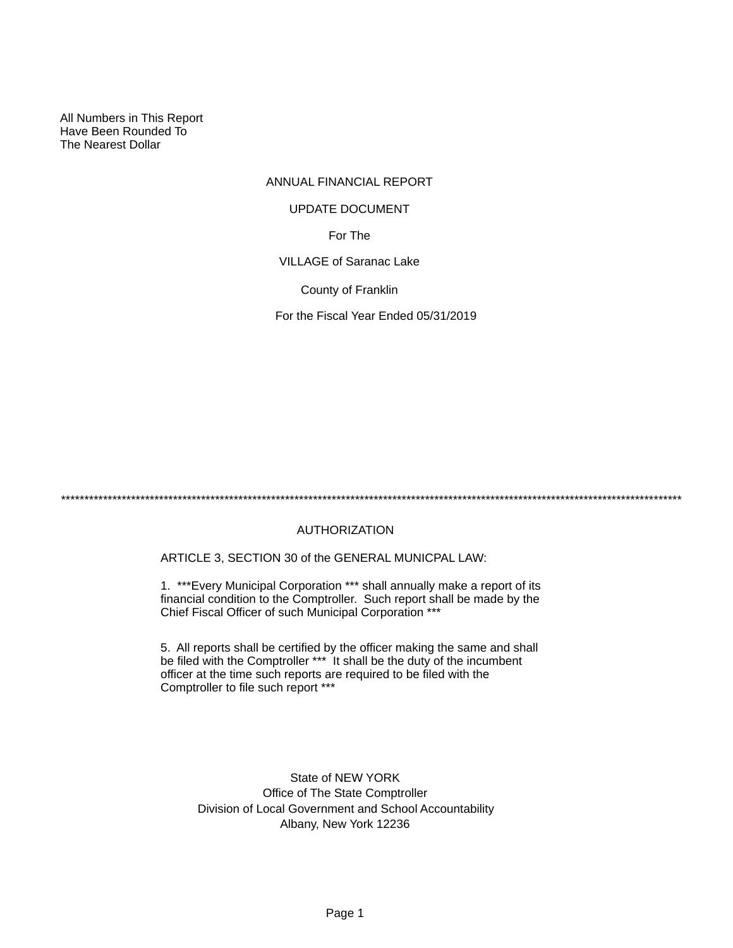All Numbers in This Report Have Been Rounded To The Nearest Dollar

## ANNUAL FINANCIAL REPORT

#### UPDATE DOCUMENT

For The

VILLAGE of Saranac Lake

County of Franklin

For the Fiscal Year Ended 05/31/2019

\*\*\*\*\*\*\*\*\*\*\*\*\*\*\*\*\*\*\*\*\*\*\*\*\*\*\*\*\*\*\*\*\*\*\*\*\*\*\*\*\*\*\*\*\*\*\*\*\*\*\*\*\*\*\*\*\*\*\*\*\*\*\*\*\*\*\*\*\*\*\*\*\*\*\*\*\*\*\*\*\*\*\*\*\*\*\*\*\*\*\*\*\*\*\*\*\*\*\*\*\*\*\*\*\*\*\*\*\*\*\*\*\*\*\*\*\*\*\*\*\*\*\*\*\*\*\*\*\*\*\*\*\*

## AUTHORIZATION

ARTICLE 3, SECTION 30 of the GENERAL MUNICPAL LAW:

1. \*\*\*Every Municipal Corporation \*\*\* shall annually make a report of its financial condition to the Comptroller. Such report shall be made by the Chief Fiscal Officer of such Municipal Corporation \*\*\*

5. All reports shall be certified by the officer making the same and shall be filed with the Comptroller \*\*\* It shall be the duty of the incumbent officer at the time such reports are required to be filed with the Comptroller to file such report \*\*\*

State of NEW YORK Office of The State Comptroller Division of Local Government and School Accountability Albany, New York 12236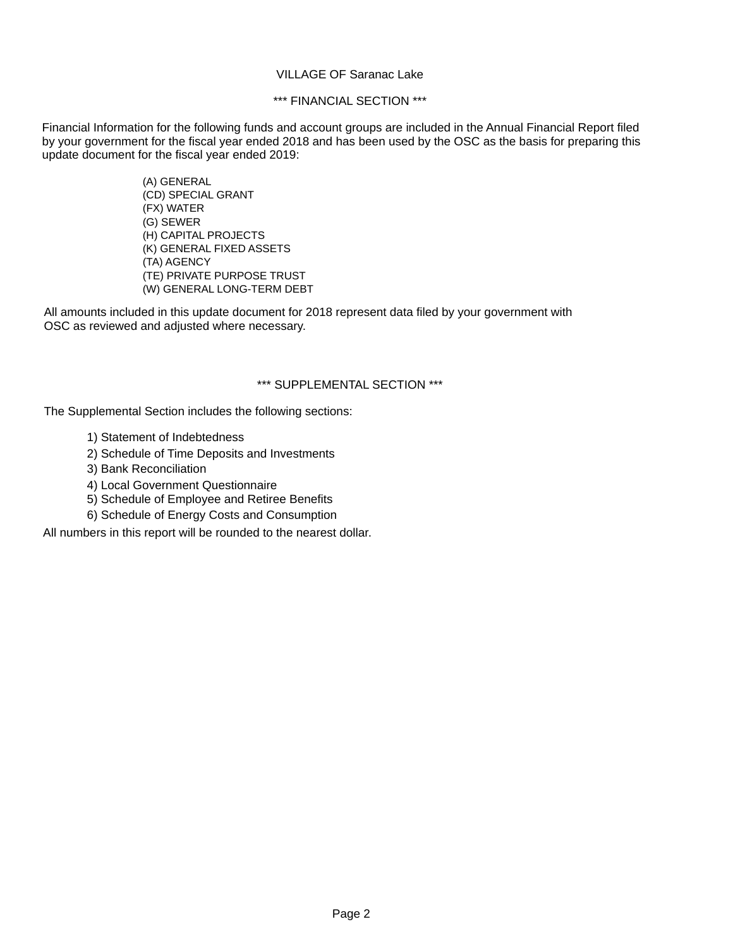### VILLAGE OF Saranac Lake

## \*\*\* FINANCIAL SECTION \*\*\*

Financial Information for the following funds and account groups are included in the Annual Financial Report filed by your government for the fiscal year ended 2018 and has been used by the OSC as the basis for preparing this update document for the fiscal year ended 2019:

> (A) GENERAL (CD) SPECIAL GRANT (FX) WATER (G) SEWER (H) CAPITAL PROJECTS (K) GENERAL FIXED ASSETS (TA) AGENCY (TE) PRIVATE PURPOSE TRUST (W) GENERAL LONG-TERM DEBT

All amounts included in this update document for 2018 represent data filed by your government with OSC as reviewed and adjusted where necessary.

### \*\*\* SUPPLEMENTAL SECTION \*\*\*

The Supplemental Section includes the following sections:

- 1) Statement of Indebtedness
- 2) Schedule of Time Deposits and Investments
- 3) Bank Reconciliation
- 4) Local Government Questionnaire
- 5) Schedule of Employee and Retiree Benefits
- 6) Schedule of Energy Costs and Consumption

All numbers in this report will be rounded to the nearest dollar.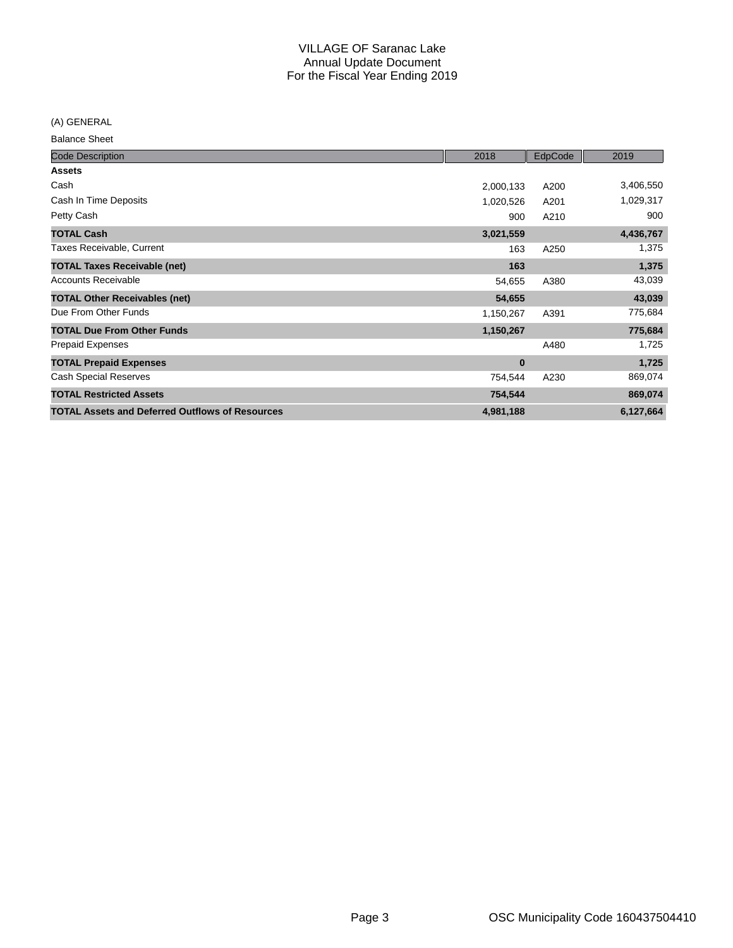(A) GENERAL

Balance Sheet

| <b>Code Description</b>                                | 2018      | EdpCode | 2019      |
|--------------------------------------------------------|-----------|---------|-----------|
| <b>Assets</b>                                          |           |         |           |
| Cash                                                   | 2,000,133 | A200    | 3,406,550 |
| Cash In Time Deposits                                  | 1,020,526 | A201    | 1,029,317 |
| Petty Cash                                             | 900       | A210    | 900       |
| <b>TOTAL Cash</b>                                      | 3,021,559 |         | 4,436,767 |
| Taxes Receivable, Current                              | 163       | A250    | 1,375     |
| <b>TOTAL Taxes Receivable (net)</b>                    | 163       |         | 1,375     |
| <b>Accounts Receivable</b>                             | 54,655    | A380    | 43,039    |
| <b>TOTAL Other Receivables (net)</b>                   | 54,655    |         | 43,039    |
| Due From Other Funds                                   | 1,150,267 | A391    | 775,684   |
| <b>TOTAL Due From Other Funds</b>                      | 1,150,267 |         | 775,684   |
| <b>Prepaid Expenses</b>                                |           | A480    | 1,725     |
| <b>TOTAL Prepaid Expenses</b>                          | $\bf{0}$  |         | 1,725     |
| <b>Cash Special Reserves</b>                           | 754,544   | A230    | 869,074   |
| <b>TOTAL Restricted Assets</b>                         | 754,544   |         | 869,074   |
| <b>TOTAL Assets and Deferred Outflows of Resources</b> | 4,981,188 |         | 6,127,664 |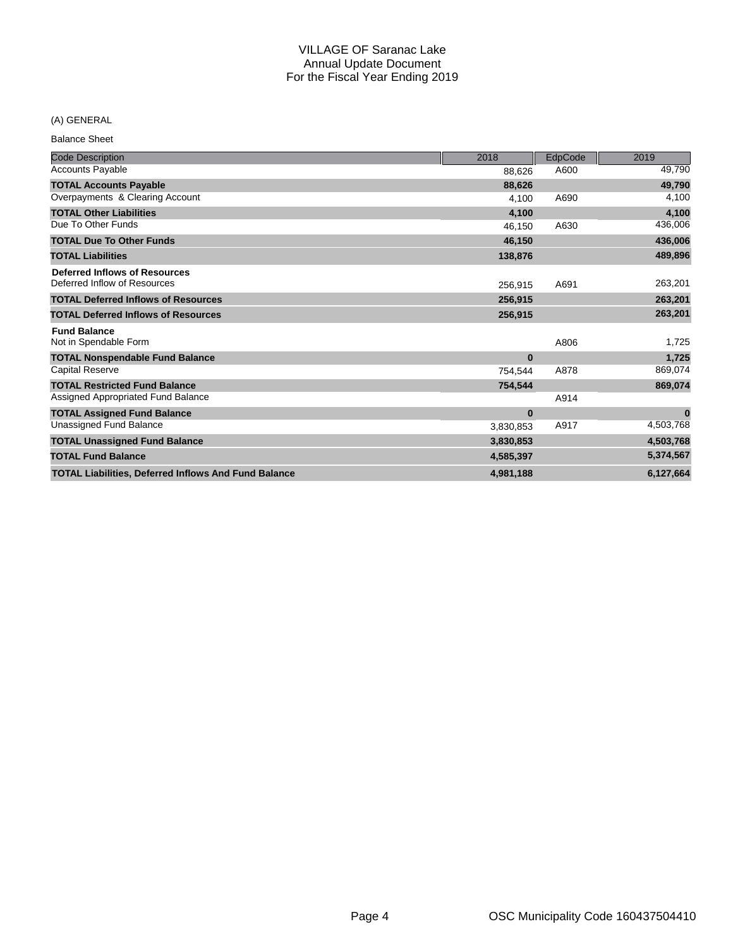## (A) GENERAL

Balance Sheet

| <b>Code Description</b>                                     | 2018      | EdpCode | 2019      |
|-------------------------------------------------------------|-----------|---------|-----------|
| <b>Accounts Payable</b>                                     | 88,626    | A600    | 49,790    |
| <b>TOTAL Accounts Payable</b>                               | 88,626    |         | 49,790    |
| Overpayments & Clearing Account                             | 4,100     | A690    | 4,100     |
| <b>TOTAL Other Liabilities</b>                              | 4,100     |         | 4,100     |
| Due To Other Funds                                          | 46.150    | A630    | 436,006   |
| <b>TOTAL Due To Other Funds</b>                             | 46,150    |         | 436,006   |
| <b>TOTAL Liabilities</b>                                    | 138,876   |         | 489,896   |
| <b>Deferred Inflows of Resources</b>                        |           |         |           |
| Deferred Inflow of Resources                                | 256,915   | A691    | 263,201   |
| <b>TOTAL Deferred Inflows of Resources</b>                  | 256,915   |         | 263,201   |
| <b>TOTAL Deferred Inflows of Resources</b>                  | 256,915   |         | 263,201   |
| <b>Fund Balance</b>                                         |           |         |           |
| Not in Spendable Form                                       |           | A806    | 1,725     |
| <b>TOTAL Nonspendable Fund Balance</b>                      | $\bf{0}$  |         | 1,725     |
| <b>Capital Reserve</b>                                      | 754,544   | A878    | 869,074   |
| <b>TOTAL Restricted Fund Balance</b>                        | 754,544   |         | 869,074   |
| Assigned Appropriated Fund Balance                          |           | A914    |           |
| <b>TOTAL Assigned Fund Balance</b>                          | $\bf{0}$  |         | $\bf{0}$  |
| Unassigned Fund Balance                                     | 3,830,853 | A917    | 4,503,768 |
| <b>TOTAL Unassigned Fund Balance</b>                        | 3,830,853 |         | 4,503,768 |
| <b>TOTAL Fund Balance</b>                                   | 4,585,397 |         | 5,374,567 |
| <b>TOTAL Liabilities, Deferred Inflows And Fund Balance</b> | 4.981.188 |         | 6,127,664 |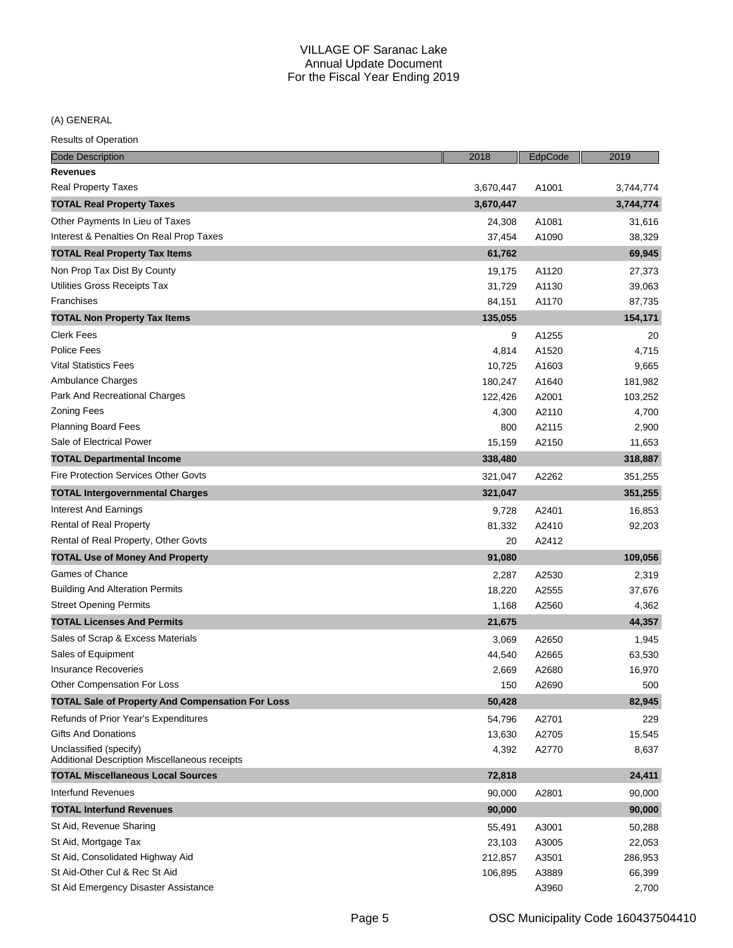(A) GENERAL

| <b>Code Description</b>                                                 | 2018      | EdpCode | 2019      |
|-------------------------------------------------------------------------|-----------|---------|-----------|
| <b>Revenues</b>                                                         |           |         |           |
| <b>Real Property Taxes</b>                                              | 3,670,447 | A1001   | 3,744,774 |
| <b>TOTAL Real Property Taxes</b>                                        | 3,670,447 |         | 3,744,774 |
| Other Payments In Lieu of Taxes                                         | 24,308    | A1081   | 31,616    |
| Interest & Penalties On Real Prop Taxes                                 | 37,454    | A1090   | 38,329    |
| <b>TOTAL Real Property Tax Items</b>                                    | 61,762    |         | 69,945    |
| Non Prop Tax Dist By County                                             | 19,175    | A1120   | 27,373    |
| Utilities Gross Receipts Tax                                            | 31,729    | A1130   | 39,063    |
| Franchises                                                              | 84,151    | A1170   | 87,735    |
| <b>TOTAL Non Property Tax Items</b>                                     | 135,055   |         | 154,171   |
| <b>Clerk Fees</b>                                                       | 9         | A1255   | 20        |
| Police Fees                                                             | 4,814     | A1520   | 4,715     |
| <b>Vital Statistics Fees</b>                                            | 10,725    | A1603   | 9,665     |
| Ambulance Charges                                                       | 180,247   | A1640   | 181,982   |
| Park And Recreational Charges                                           | 122,426   | A2001   | 103,252   |
| <b>Zoning Fees</b>                                                      | 4,300     | A2110   | 4,700     |
| <b>Planning Board Fees</b>                                              | 800       | A2115   | 2,900     |
| Sale of Electrical Power                                                | 15,159    | A2150   | 11,653    |
| <b>TOTAL Departmental Income</b>                                        | 338,480   |         | 318,887   |
| <b>Fire Protection Services Other Govts</b>                             | 321,047   | A2262   | 351,255   |
| <b>TOTAL Intergovernmental Charges</b>                                  | 321,047   |         | 351,255   |
| Interest And Earnings                                                   | 9,728     | A2401   | 16,853    |
| Rental of Real Property                                                 | 81,332    | A2410   | 92,203    |
| Rental of Real Property, Other Govts                                    | 20        | A2412   |           |
| <b>TOTAL Use of Money And Property</b>                                  | 91,080    |         | 109,056   |
| Games of Chance                                                         | 2,287     | A2530   | 2,319     |
| <b>Building And Alteration Permits</b>                                  | 18,220    | A2555   | 37,676    |
| <b>Street Opening Permits</b>                                           | 1,168     | A2560   | 4,362     |
| <b>TOTAL Licenses And Permits</b>                                       | 21,675    |         | 44,357    |
| Sales of Scrap & Excess Materials                                       | 3,069     | A2650   | 1,945     |
| Sales of Equipment                                                      | 44,540    | A2665   | 63,530    |
| <b>Insurance Recoveries</b>                                             | 2,669     | A2680   | 16,970    |
| Other Compensation For Loss                                             | 150       | A2690   | 500       |
| <b>TOTAL Sale of Property And Compensation For Loss</b>                 | 50,428    |         | 82,945    |
| Refunds of Prior Year's Expenditures                                    | 54,796    | A2701   | 229       |
| <b>Gifts And Donations</b>                                              | 13,630    | A2705   | 15,545    |
| Unclassified (specify)<br>Additional Description Miscellaneous receipts | 4,392     | A2770   | 8,637     |
| <b>TOTAL Miscellaneous Local Sources</b>                                | 72,818    |         | 24,411    |
| Interfund Revenues                                                      | 90,000    | A2801   | 90,000    |
| <b>TOTAL Interfund Revenues</b>                                         | 90,000    |         | 90,000    |
| St Aid, Revenue Sharing                                                 | 55,491    | A3001   | 50,288    |
| St Aid, Mortgage Tax                                                    | 23,103    | A3005   | 22,053    |
| St Aid, Consolidated Highway Aid                                        | 212,857   | A3501   | 286,953   |
| St Aid-Other Cul & Rec St Aid                                           | 106,895   | A3889   | 66,399    |
| St Aid Emergency Disaster Assistance                                    |           | A3960   | 2,700     |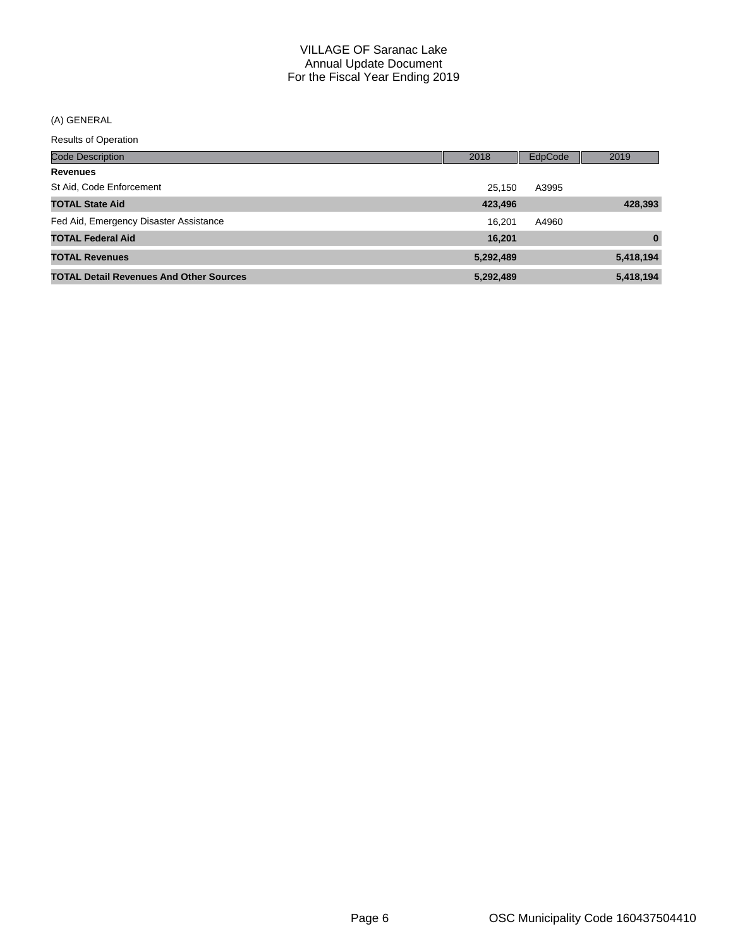(A) GENERAL

| <b>Code Description</b>                        | 2018      | EdpCode | 2019         |
|------------------------------------------------|-----------|---------|--------------|
| <b>Revenues</b>                                |           |         |              |
| St Aid, Code Enforcement                       | 25.150    | A3995   |              |
| <b>TOTAL State Aid</b>                         | 423,496   |         | 428,393      |
| Fed Aid, Emergency Disaster Assistance         | 16.201    | A4960   |              |
| <b>TOTAL Federal Aid</b>                       | 16,201    |         | $\mathbf{0}$ |
| <b>TOTAL Revenues</b>                          | 5,292,489 |         | 5,418,194    |
| <b>TOTAL Detail Revenues And Other Sources</b> | 5,292,489 |         | 5,418,194    |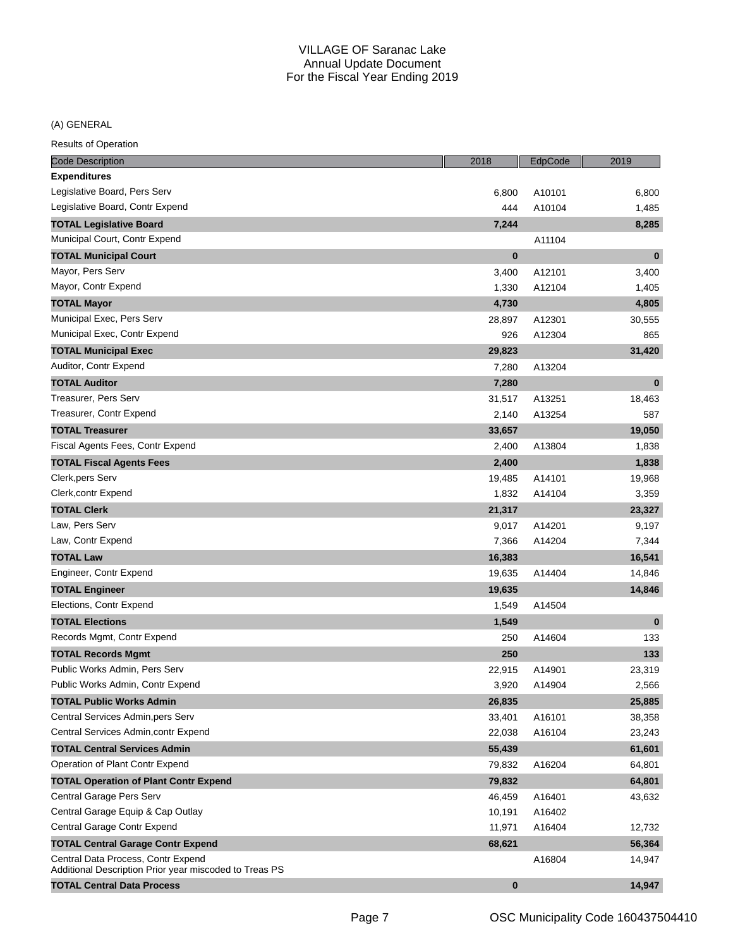(A) GENERAL

| <b>Code Description</b>                                                                      | 2018     | EdpCode | 2019     |
|----------------------------------------------------------------------------------------------|----------|---------|----------|
| <b>Expenditures</b>                                                                          |          |         |          |
| Legislative Board, Pers Serv                                                                 | 6,800    | A10101  | 6,800    |
| Legislative Board, Contr Expend                                                              | 444      | A10104  | 1,485    |
| <b>TOTAL Legislative Board</b>                                                               | 7,244    |         | 8,285    |
| Municipal Court, Contr Expend                                                                |          | A11104  |          |
| <b>TOTAL Municipal Court</b>                                                                 | $\bf{0}$ |         | $\bf{0}$ |
| Mayor, Pers Serv                                                                             | 3,400    | A12101  | 3,400    |
| Mayor, Contr Expend                                                                          | 1,330    | A12104  | 1,405    |
| <b>TOTAL Mayor</b>                                                                           | 4,730    |         | 4,805    |
| Municipal Exec, Pers Serv                                                                    | 28,897   | A12301  | 30,555   |
| Municipal Exec, Contr Expend                                                                 | 926      | A12304  | 865      |
| <b>TOTAL Municipal Exec</b>                                                                  | 29,823   |         | 31,420   |
| Auditor, Contr Expend                                                                        | 7,280    | A13204  |          |
| <b>TOTAL Auditor</b>                                                                         | 7,280    |         | $\bf{0}$ |
| Treasurer, Pers Serv                                                                         | 31,517   | A13251  | 18,463   |
| Treasurer, Contr Expend                                                                      | 2,140    | A13254  | 587      |
| <b>TOTAL Treasurer</b>                                                                       | 33,657   |         | 19,050   |
| Fiscal Agents Fees, Contr Expend                                                             | 2,400    | A13804  | 1,838    |
| <b>TOTAL Fiscal Agents Fees</b>                                                              | 2,400    |         | 1,838    |
| Clerk, pers Serv                                                                             | 19,485   | A14101  | 19,968   |
| Clerk, contr Expend                                                                          | 1,832    | A14104  | 3,359    |
| <b>TOTAL Clerk</b>                                                                           | 21,317   |         | 23,327   |
| Law, Pers Serv                                                                               | 9,017    | A14201  | 9,197    |
| Law, Contr Expend                                                                            | 7,366    | A14204  | 7,344    |
| <b>TOTAL Law</b>                                                                             | 16,383   |         | 16,541   |
| Engineer, Contr Expend                                                                       | 19,635   | A14404  | 14,846   |
| <b>TOTAL Engineer</b>                                                                        | 19,635   |         | 14,846   |
| Elections, Contr Expend                                                                      | 1,549    | A14504  |          |
| <b>TOTAL Elections</b>                                                                       | 1,549    |         | $\bf{0}$ |
| Records Mgmt, Contr Expend                                                                   | 250      | A14604  | 133      |
| <b>TOTAL Records Mgmt</b>                                                                    | 250      |         | 133      |
| Public Works Admin, Pers Serv                                                                | 22,915   | A14901  | 23,319   |
| Public Works Admin, Contr Expend                                                             | 3,920    | A14904  | 2,566    |
| <b>TOTAL Public Works Admin</b>                                                              | 26,835   |         | 25,885   |
| Central Services Admin, pers Serv                                                            | 33,401   | A16101  | 38,358   |
| Central Services Admin, contr Expend                                                         | 22,038   | A16104  | 23,243   |
| <b>TOTAL Central Services Admin</b>                                                          | 55,439   |         | 61,601   |
| Operation of Plant Contr Expend                                                              | 79,832   | A16204  | 64,801   |
| <b>TOTAL Operation of Plant Contr Expend</b>                                                 | 79,832   |         | 64,801   |
| Central Garage Pers Serv                                                                     | 46,459   | A16401  | 43,632   |
| Central Garage Equip & Cap Outlay                                                            | 10,191   | A16402  |          |
| Central Garage Contr Expend                                                                  | 11,971   | A16404  | 12,732   |
| <b>TOTAL Central Garage Contr Expend</b>                                                     | 68,621   |         | 56,364   |
| Central Data Process, Contr Expend<br>Additional Description Prior year miscoded to Treas PS |          | A16804  | 14,947   |
| <b>TOTAL Central Data Process</b>                                                            | $\bf{0}$ |         | 14,947   |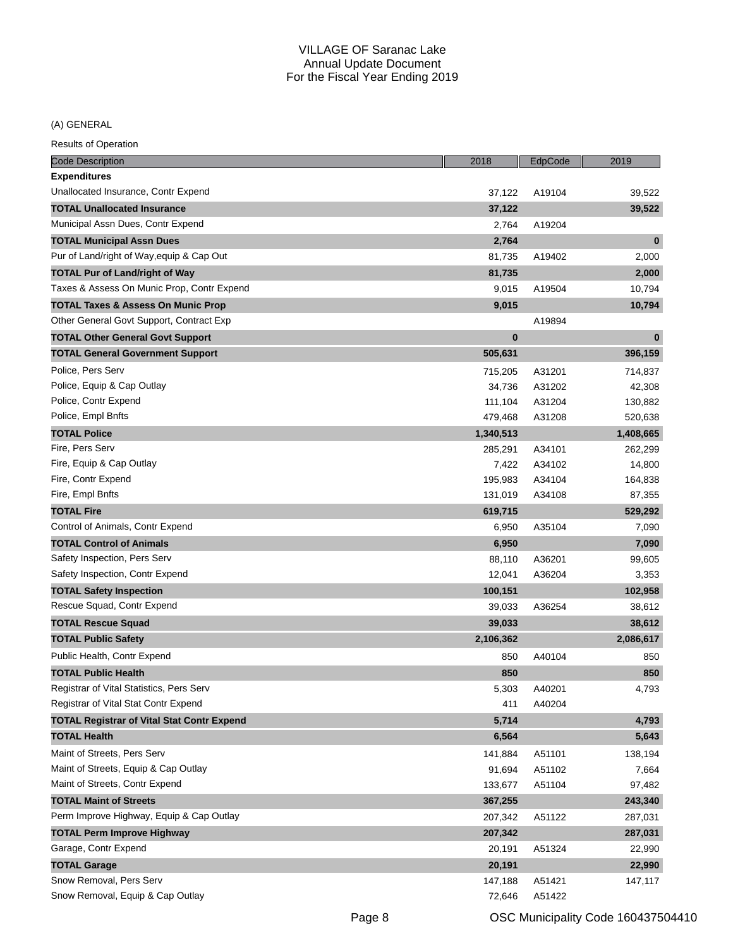(A) GENERAL

| <b>Code Description</b>                           | 2018      | EdpCode | 2019      |
|---------------------------------------------------|-----------|---------|-----------|
| <b>Expenditures</b>                               |           |         |           |
| Unallocated Insurance, Contr Expend               | 37,122    | A19104  | 39,522    |
| <b>TOTAL Unallocated Insurance</b>                | 37,122    |         | 39,522    |
| Municipal Assn Dues, Contr Expend                 | 2,764     | A19204  |           |
| <b>TOTAL Municipal Assn Dues</b>                  | 2,764     |         | $\bf{0}$  |
| Pur of Land/right of Way, equip & Cap Out         | 81,735    | A19402  | 2,000     |
| <b>TOTAL Pur of Land/right of Way</b>             | 81,735    |         | 2,000     |
| Taxes & Assess On Munic Prop, Contr Expend        | 9,015     | A19504  | 10,794    |
| <b>TOTAL Taxes &amp; Assess On Munic Prop</b>     | 9,015     |         | 10,794    |
| Other General Govt Support, Contract Exp          |           | A19894  |           |
| <b>TOTAL Other General Govt Support</b>           | $\bf{0}$  |         | $\bf{0}$  |
| <b>TOTAL General Government Support</b>           | 505,631   |         | 396,159   |
| Police, Pers Serv                                 | 715,205   | A31201  | 714,837   |
| Police, Equip & Cap Outlay                        | 34,736    | A31202  | 42,308    |
| Police, Contr Expend                              | 111,104   | A31204  | 130,882   |
| Police, Empl Bnfts                                | 479,468   | A31208  | 520,638   |
| <b>TOTAL Police</b>                               | 1,340,513 |         | 1,408,665 |
| Fire, Pers Serv                                   | 285,291   | A34101  | 262,299   |
| Fire, Equip & Cap Outlay                          | 7,422     | A34102  | 14,800    |
| Fire, Contr Expend                                | 195,983   | A34104  | 164,838   |
| Fire, Empl Bnfts                                  | 131,019   | A34108  | 87,355    |
| <b>TOTAL Fire</b>                                 | 619,715   |         | 529,292   |
| Control of Animals, Contr Expend                  | 6,950     | A35104  | 7,090     |
| <b>TOTAL Control of Animals</b>                   | 6,950     |         | 7,090     |
| Safety Inspection, Pers Serv                      | 88,110    | A36201  | 99,605    |
| Safety Inspection, Contr Expend                   | 12,041    | A36204  | 3,353     |
| <b>TOTAL Safety Inspection</b>                    | 100,151   |         | 102,958   |
| Rescue Squad, Contr Expend                        | 39,033    | A36254  | 38,612    |
| <b>TOTAL Rescue Squad</b>                         | 39,033    |         | 38,612    |
| <b>TOTAL Public Safety</b>                        | 2,106,362 |         | 2,086,617 |
| Public Health, Contr Expend                       | 850       | A40104  | 850       |
| <b>TOTAL Public Health</b>                        | 850       |         | 850       |
| Registrar of Vital Statistics, Pers Serv          | 5,303     | A40201  | 4,793     |
| Registrar of Vital Stat Contr Expend              | 411       | A40204  |           |
| <b>TOTAL Registrar of Vital Stat Contr Expend</b> | 5,714     |         | 4,793     |
| <b>TOTAL Health</b>                               | 6,564     |         | 5,643     |
| Maint of Streets, Pers Serv                       | 141,884   | A51101  | 138,194   |
| Maint of Streets, Equip & Cap Outlay              | 91,694    | A51102  | 7,664     |
| Maint of Streets, Contr Expend                    | 133,677   | A51104  | 97,482    |
| <b>TOTAL Maint of Streets</b>                     | 367,255   |         | 243,340   |
| Perm Improve Highway, Equip & Cap Outlay          | 207,342   | A51122  | 287,031   |
| <b>TOTAL Perm Improve Highway</b>                 | 207,342   |         | 287,031   |
| Garage, Contr Expend                              | 20,191    | A51324  | 22,990    |
| <b>TOTAL Garage</b>                               | 20,191    |         | 22,990    |
| Snow Removal, Pers Serv                           | 147,188   | A51421  | 147,117   |
| Snow Removal, Equip & Cap Outlay                  | 72,646    | A51422  |           |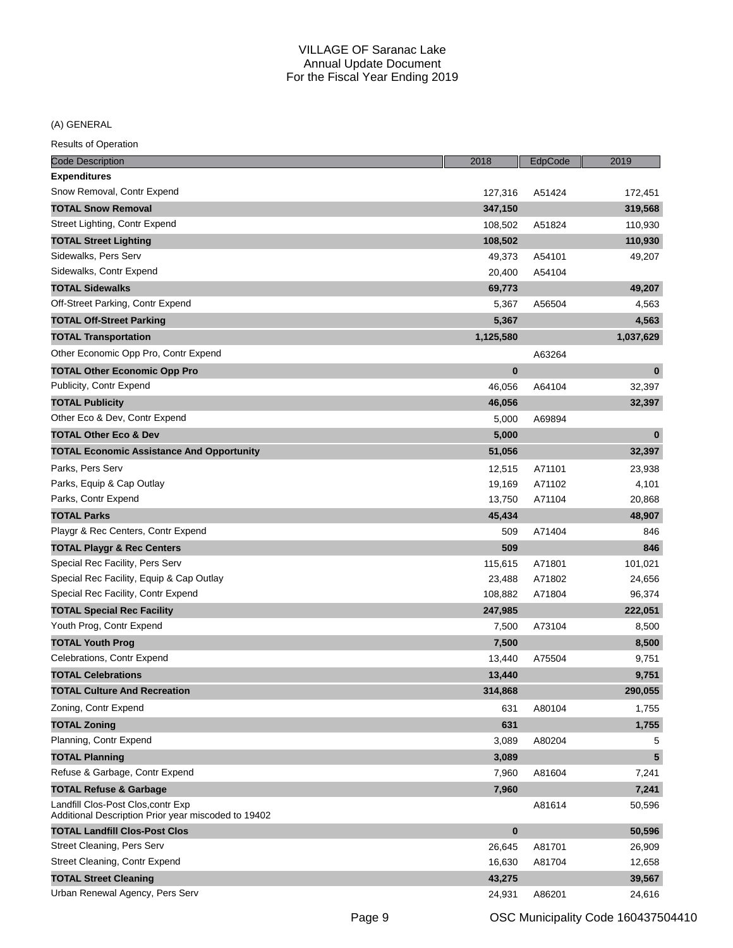(A) GENERAL

| <b>Code Description</b>                                                                   | 2018      | EdpCode | 2019      |
|-------------------------------------------------------------------------------------------|-----------|---------|-----------|
| <b>Expenditures</b>                                                                       |           |         |           |
| Snow Removal, Contr Expend                                                                | 127,316   | A51424  | 172,451   |
| <b>TOTAL Snow Removal</b>                                                                 | 347,150   |         | 319,568   |
| Street Lighting, Contr Expend                                                             | 108,502   | A51824  | 110,930   |
| <b>TOTAL Street Lighting</b>                                                              | 108,502   |         | 110,930   |
| Sidewalks, Pers Serv                                                                      | 49,373    | A54101  | 49,207    |
| Sidewalks, Contr Expend                                                                   | 20,400    | A54104  |           |
| <b>TOTAL Sidewalks</b>                                                                    | 69,773    |         | 49,207    |
| Off-Street Parking, Contr Expend                                                          | 5,367     | A56504  | 4,563     |
| <b>TOTAL Off-Street Parking</b>                                                           | 5,367     |         | 4,563     |
| <b>TOTAL Transportation</b>                                                               | 1,125,580 |         | 1,037,629 |
| Other Economic Opp Pro, Contr Expend                                                      |           | A63264  |           |
| <b>TOTAL Other Economic Opp Pro</b>                                                       | $\bf{0}$  |         | $\bf{0}$  |
| Publicity, Contr Expend                                                                   | 46,056    | A64104  | 32,397    |
| <b>TOTAL Publicity</b>                                                                    | 46,056    |         | 32,397    |
| Other Eco & Dev, Contr Expend                                                             | 5,000     | A69894  |           |
| <b>TOTAL Other Eco &amp; Dev</b>                                                          | 5,000     |         | $\bf{0}$  |
| <b>TOTAL Economic Assistance And Opportunity</b>                                          | 51,056    |         | 32,397    |
| Parks, Pers Serv                                                                          | 12,515    | A71101  | 23,938    |
| Parks, Equip & Cap Outlay                                                                 | 19,169    | A71102  | 4,101     |
| Parks, Contr Expend                                                                       | 13,750    | A71104  | 20,868    |
| <b>TOTAL Parks</b>                                                                        | 45,434    |         | 48,907    |
| Playgr & Rec Centers, Contr Expend                                                        | 509       | A71404  | 846       |
| <b>TOTAL Playgr &amp; Rec Centers</b>                                                     | 509       |         | 846       |
| Special Rec Facility, Pers Serv                                                           | 115,615   | A71801  | 101,021   |
| Special Rec Facility, Equip & Cap Outlay                                                  | 23,488    | A71802  | 24,656    |
| Special Rec Facility, Contr Expend                                                        | 108,882   | A71804  | 96,374    |
| <b>TOTAL Special Rec Facility</b>                                                         | 247,985   |         | 222,051   |
| Youth Prog, Contr Expend                                                                  | 7,500     | A73104  | 8,500     |
| <b>TOTAL Youth Prog</b>                                                                   | 7,500     |         | 8,500     |
| Celebrations, Contr Expend                                                                | 13,440    | A75504  | 9,751     |
| <b>TOTAL Celebrations</b>                                                                 | 13,440    |         | 9,751     |
| <b>TOTAL Culture And Recreation</b>                                                       | 314,868   |         | 290,055   |
| Zoning, Contr Expend                                                                      | 631       | A80104  | 1,755     |
| <b>TOTAL Zoning</b>                                                                       | 631       |         | 1,755     |
| Planning, Contr Expend                                                                    | 3,089     | A80204  | 5         |
| <b>TOTAL Planning</b>                                                                     | 3,089     |         | 5         |
| Refuse & Garbage, Contr Expend                                                            | 7,960     | A81604  | 7,241     |
| <b>TOTAL Refuse &amp; Garbage</b>                                                         | 7,960     |         | 7,241     |
| Landfill Clos-Post Clos, contr Exp<br>Additional Description Prior year miscoded to 19402 |           | A81614  | 50,596    |
| <b>TOTAL Landfill Clos-Post Clos</b>                                                      | $\bf{0}$  |         | 50,596    |
| Street Cleaning, Pers Serv                                                                | 26,645    | A81701  | 26,909    |
| Street Cleaning, Contr Expend                                                             | 16,630    | A81704  | 12,658    |
| <b>TOTAL Street Cleaning</b>                                                              | 43,275    |         | 39,567    |
| Urban Renewal Agency, Pers Serv                                                           | 24,931    | A86201  | 24,616    |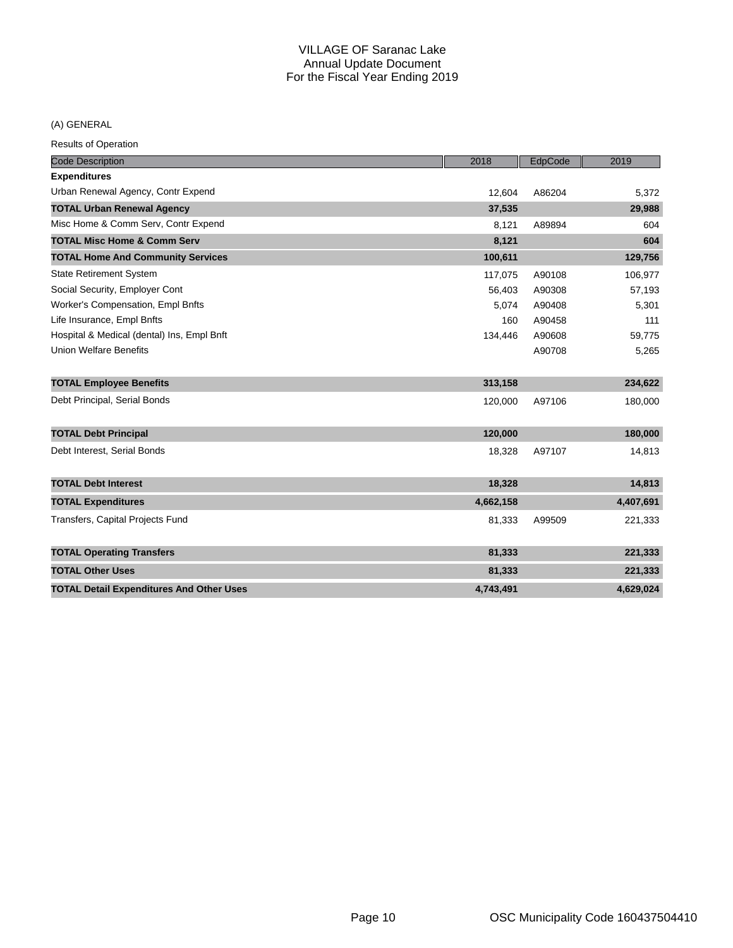## (A) GENERAL

| <b>Code Description</b>                         | 2018      | EdpCode | 2019      |
|-------------------------------------------------|-----------|---------|-----------|
| <b>Expenditures</b>                             |           |         |           |
| Urban Renewal Agency, Contr Expend              | 12,604    | A86204  | 5,372     |
| <b>TOTAL Urban Renewal Agency</b>               | 37,535    |         | 29,988    |
| Misc Home & Comm Serv, Contr Expend             | 8,121     | A89894  | 604       |
| <b>TOTAL Misc Home &amp; Comm Serv</b>          | 8,121     |         | 604       |
| <b>TOTAL Home And Community Services</b>        | 100,611   |         | 129,756   |
| <b>State Retirement System</b>                  | 117,075   | A90108  | 106,977   |
| Social Security, Employer Cont                  | 56,403    | A90308  | 57,193    |
| Worker's Compensation, Empl Bnfts               | 5,074     | A90408  | 5,301     |
| Life Insurance, Empl Bnfts                      | 160       | A90458  | 111       |
| Hospital & Medical (dental) Ins, Empl Bnft      | 134,446   | A90608  | 59,775    |
| <b>Union Welfare Benefits</b>                   |           | A90708  | 5,265     |
| <b>TOTAL Employee Benefits</b>                  | 313,158   |         | 234,622   |
| Debt Principal, Serial Bonds                    | 120,000   | A97106  | 180,000   |
| <b>TOTAL Debt Principal</b>                     | 120,000   |         | 180,000   |
| Debt Interest, Serial Bonds                     | 18,328    | A97107  | 14,813    |
| <b>TOTAL Debt Interest</b>                      | 18,328    |         | 14,813    |
| <b>TOTAL Expenditures</b>                       | 4,662,158 |         | 4,407,691 |
| Transfers, Capital Projects Fund                | 81,333    | A99509  | 221,333   |
| <b>TOTAL Operating Transfers</b>                | 81,333    |         | 221,333   |
| <b>TOTAL Other Uses</b>                         | 81,333    |         | 221,333   |
| <b>TOTAL Detail Expenditures And Other Uses</b> | 4,743,491 |         | 4,629,024 |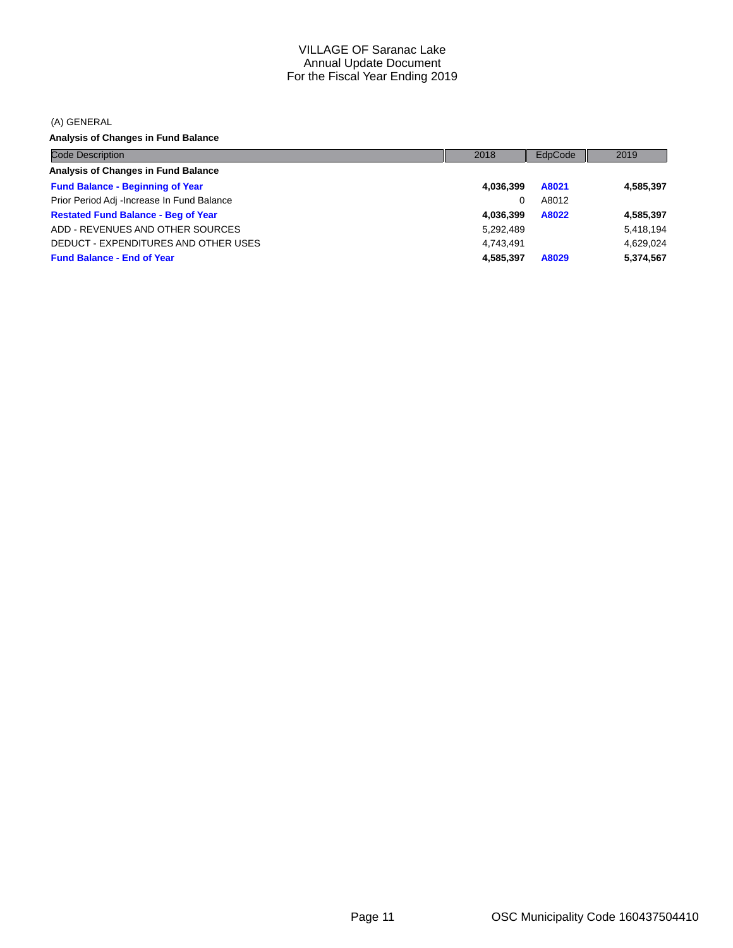(A) GENERAL

**Analysis of Changes in Fund Balance**

| <b>Code Description</b>                    | 2018      | EdpCode | 2019      |
|--------------------------------------------|-----------|---------|-----------|
| Analysis of Changes in Fund Balance        |           |         |           |
| <b>Fund Balance - Beginning of Year</b>    | 4,036,399 | A8021   | 4,585,397 |
| Prior Period Adj -Increase In Fund Balance | 0         | A8012   |           |
| <b>Restated Fund Balance - Beg of Year</b> | 4.036.399 | A8022   | 4,585,397 |
| ADD - REVENUES AND OTHER SOURCES           | 5,292,489 |         | 5,418,194 |
| DEDUCT - EXPENDITURES AND OTHER USES       | 4.743.491 |         | 4.629.024 |
| <b>Fund Balance - End of Year</b>          | 4,585,397 | A8029   | 5,374,567 |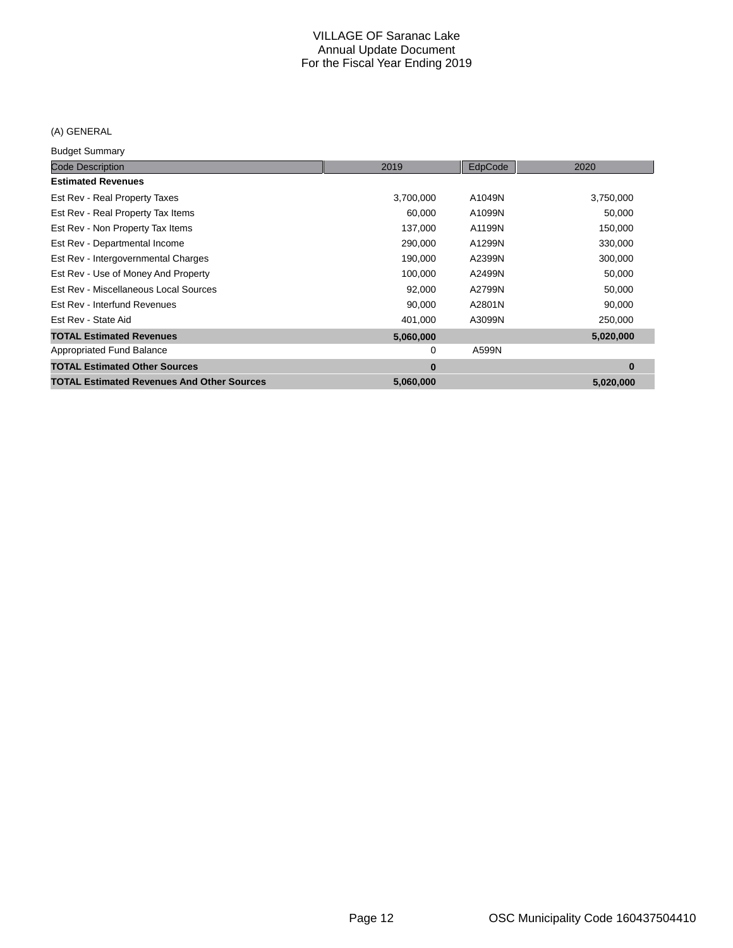## (A) GENERAL

Budget Summary

| Paagot Danmary                                    |           |         |           |
|---------------------------------------------------|-----------|---------|-----------|
| <b>Code Description</b>                           | 2019      | EdpCode | 2020      |
| <b>Estimated Revenues</b>                         |           |         |           |
| Est Rev - Real Property Taxes                     | 3,700,000 | A1049N  | 3,750,000 |
| Est Rev - Real Property Tax Items                 | 60,000    | A1099N  | 50,000    |
| Est Rev - Non Property Tax Items                  | 137,000   | A1199N  | 150,000   |
| Est Rev - Departmental Income                     | 290,000   | A1299N  | 330,000   |
| Est Rev - Intergovernmental Charges               | 190,000   | A2399N  | 300,000   |
| Est Rev - Use of Money And Property               | 100,000   | A2499N  | 50,000    |
| Est Rev - Miscellaneous Local Sources             | 92,000    | A2799N  | 50,000    |
| Est Rev - Interfund Revenues                      | 90,000    | A2801N  | 90,000    |
| Est Rev - State Aid                               | 401,000   | A3099N  | 250,000   |
| <b>TOTAL Estimated Revenues</b>                   | 5,060,000 |         | 5,020,000 |
| Appropriated Fund Balance                         | 0         | A599N   |           |
| <b>TOTAL Estimated Other Sources</b>              | $\bf{0}$  |         | $\bf{0}$  |
| <b>TOTAL Estimated Revenues And Other Sources</b> | 5,060,000 |         | 5,020,000 |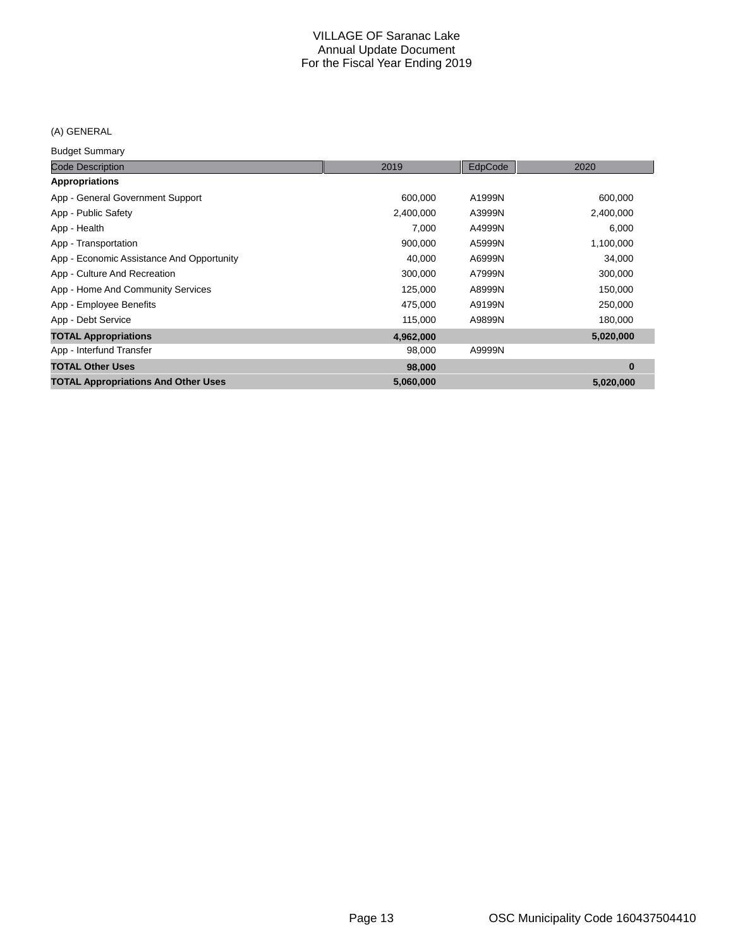#### (A) GENERAL

Budget Summary

| <b>Code Description</b>                    | 2019      | EdpCode | 2020      |
|--------------------------------------------|-----------|---------|-----------|
| Appropriations                             |           |         |           |
| App - General Government Support           | 600,000   | A1999N  | 600,000   |
| App - Public Safety                        | 2,400,000 | A3999N  | 2,400,000 |
| App - Health                               | 7,000     | A4999N  | 6,000     |
| App - Transportation                       | 900,000   | A5999N  | 1,100,000 |
| App - Economic Assistance And Opportunity  | 40,000    | A6999N  | 34,000    |
| App - Culture And Recreation               | 300,000   | A7999N  | 300,000   |
| App - Home And Community Services          | 125,000   | A8999N  | 150,000   |
| App - Employee Benefits                    | 475,000   | A9199N  | 250,000   |
| App - Debt Service                         | 115,000   | A9899N  | 180,000   |
| <b>TOTAL Appropriations</b>                | 4,962,000 |         | 5,020,000 |
| App - Interfund Transfer                   | 98,000    | A9999N  |           |
| <b>TOTAL Other Uses</b>                    | 98,000    |         | $\bf{0}$  |
| <b>TOTAL Appropriations And Other Uses</b> | 5,060,000 |         | 5,020,000 |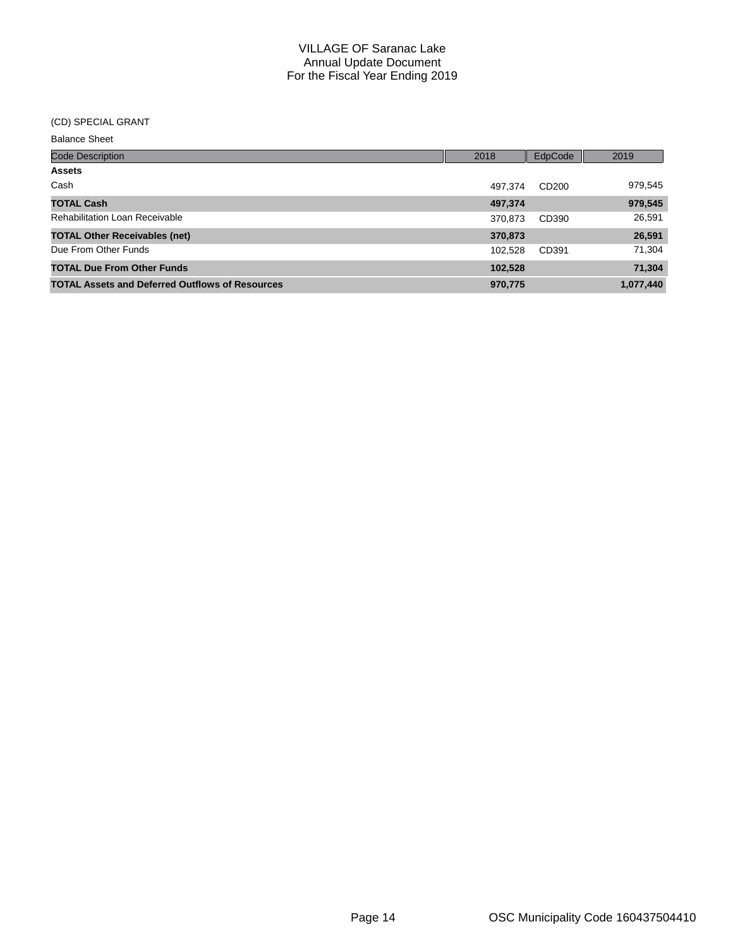#### (CD) SPECIAL GRANT

Balance Sheet

| <b>Code Description</b>                                | 2018    | EdpCode | 2019      |
|--------------------------------------------------------|---------|---------|-----------|
| <b>Assets</b>                                          |         |         |           |
| Cash                                                   | 497.374 | CD200   | 979,545   |
| <b>TOTAL Cash</b>                                      | 497,374 |         | 979,545   |
| <b>Rehabilitation Loan Receivable</b>                  | 370,873 | CD390   | 26,591    |
| <b>TOTAL Other Receivables (net)</b>                   | 370,873 |         | 26,591    |
| Due From Other Funds                                   | 102.528 | CD391   | 71,304    |
| <b>TOTAL Due From Other Funds</b>                      | 102,528 |         | 71,304    |
| <b>TOTAL Assets and Deferred Outflows of Resources</b> | 970,775 |         | 1,077,440 |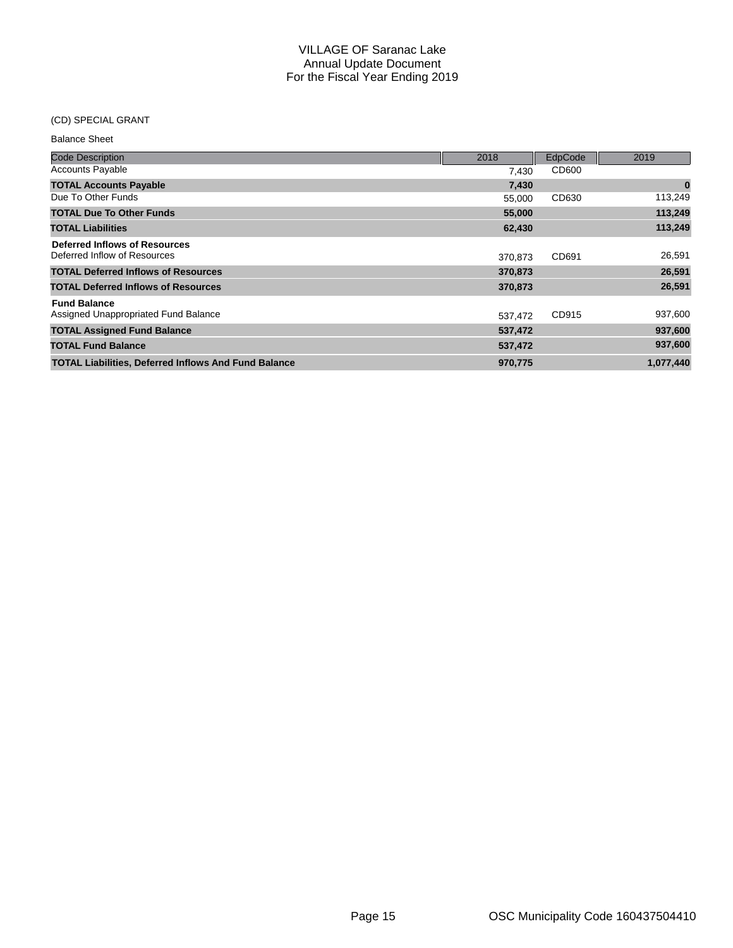### (CD) SPECIAL GRANT

| <b>Balance Sheet</b>                                          |         |         |           |
|---------------------------------------------------------------|---------|---------|-----------|
| <b>Code Description</b>                                       | 2018    | EdpCode | 2019      |
| <b>Accounts Payable</b>                                       | 7.430   | CD600   |           |
| <b>TOTAL Accounts Payable</b>                                 | 7,430   |         | $\bf{0}$  |
| Due To Other Funds                                            | 55,000  | CD630   | 113,249   |
| <b>TOTAL Due To Other Funds</b>                               | 55,000  |         | 113,249   |
| <b>TOTAL Liabilities</b>                                      | 62,430  |         | 113,249   |
| Deferred Inflows of Resources<br>Deferred Inflow of Resources | 370.873 | CD691   | 26,591    |
| <b>TOTAL Deferred Inflows of Resources</b>                    | 370,873 |         | 26,591    |
| <b>TOTAL Deferred Inflows of Resources</b>                    | 370,873 |         | 26,591    |
| <b>Fund Balance</b><br>Assigned Unappropriated Fund Balance   | 537,472 | CD915   | 937,600   |
| <b>TOTAL Assigned Fund Balance</b>                            | 537,472 |         | 937,600   |
| <b>TOTAL Fund Balance</b>                                     | 537,472 |         | 937,600   |
| <b>TOTAL Liabilities, Deferred Inflows And Fund Balance</b>   | 970,775 |         | 1,077,440 |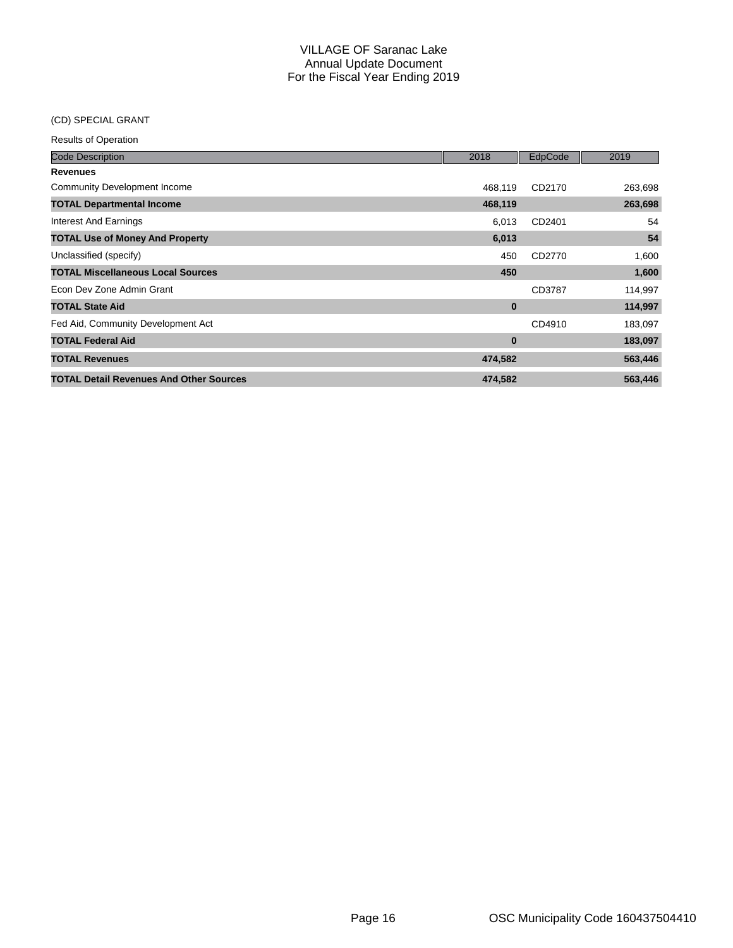## (CD) SPECIAL GRANT

| <b>Code Description</b>                        | 2018     | EdpCode | 2019    |
|------------------------------------------------|----------|---------|---------|
| <b>Revenues</b>                                |          |         |         |
| Community Development Income                   | 468,119  | CD2170  | 263,698 |
| <b>TOTAL Departmental Income</b>               | 468,119  |         | 263,698 |
| <b>Interest And Earnings</b>                   | 6.013    | CD2401  | 54      |
| <b>TOTAL Use of Money And Property</b>         | 6,013    |         | 54      |
| Unclassified (specify)                         | 450      | CD2770  | 1,600   |
| <b>TOTAL Miscellaneous Local Sources</b>       | 450      |         | 1,600   |
| Econ Dev Zone Admin Grant                      |          | CD3787  | 114,997 |
| <b>TOTAL State Aid</b>                         | $\bf{0}$ |         | 114,997 |
| Fed Aid, Community Development Act             |          | CD4910  | 183,097 |
| <b>TOTAL Federal Aid</b>                       | $\bf{0}$ |         | 183,097 |
| <b>TOTAL Revenues</b>                          | 474,582  |         | 563,446 |
| <b>TOTAL Detail Revenues And Other Sources</b> | 474,582  |         | 563,446 |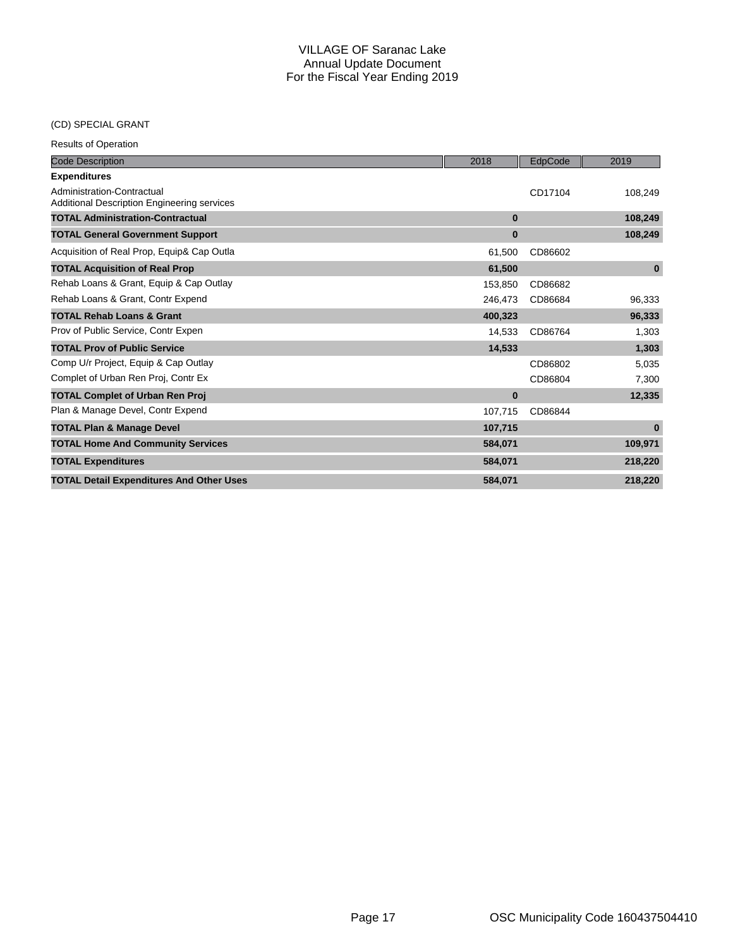## (CD) SPECIAL GRANT

| <b>Code Description</b>                                                          | 2018     | EdpCode | 2019     |
|----------------------------------------------------------------------------------|----------|---------|----------|
| <b>Expenditures</b>                                                              |          |         |          |
| Administration-Contractual<br><b>Additional Description Engineering services</b> |          | CD17104 | 108,249  |
| <b>TOTAL Administration-Contractual</b>                                          | $\bf{0}$ |         | 108,249  |
| <b>TOTAL General Government Support</b>                                          | $\bf{0}$ |         | 108,249  |
| Acquisition of Real Prop, Equip& Cap Outla                                       | 61,500   | CD86602 |          |
| <b>TOTAL Acquisition of Real Prop</b>                                            | 61,500   |         | $\bf{0}$ |
| Rehab Loans & Grant, Equip & Cap Outlay                                          | 153.850  | CD86682 |          |
| Rehab Loans & Grant, Contr Expend                                                | 246,473  | CD86684 | 96,333   |
| <b>TOTAL Rehab Loans &amp; Grant</b>                                             | 400,323  |         | 96,333   |
| Prov of Public Service, Contr Expen                                              | 14,533   | CD86764 | 1,303    |
| <b>TOTAL Prov of Public Service</b>                                              | 14,533   |         | 1,303    |
| Comp U/r Project, Equip & Cap Outlay                                             |          | CD86802 | 5,035    |
| Complet of Urban Ren Proj, Contr Ex                                              |          | CD86804 | 7,300    |
| <b>TOTAL Complet of Urban Ren Proj</b>                                           | $\bf{0}$ |         | 12,335   |
| Plan & Manage Devel, Contr Expend                                                | 107,715  | CD86844 |          |
| <b>TOTAL Plan &amp; Manage Devel</b>                                             | 107,715  |         | $\bf{0}$ |
| <b>TOTAL Home And Community Services</b>                                         | 584,071  |         | 109,971  |
| <b>TOTAL Expenditures</b>                                                        | 584,071  |         | 218,220  |
| <b>TOTAL Detail Expenditures And Other Uses</b>                                  | 584,071  |         | 218,220  |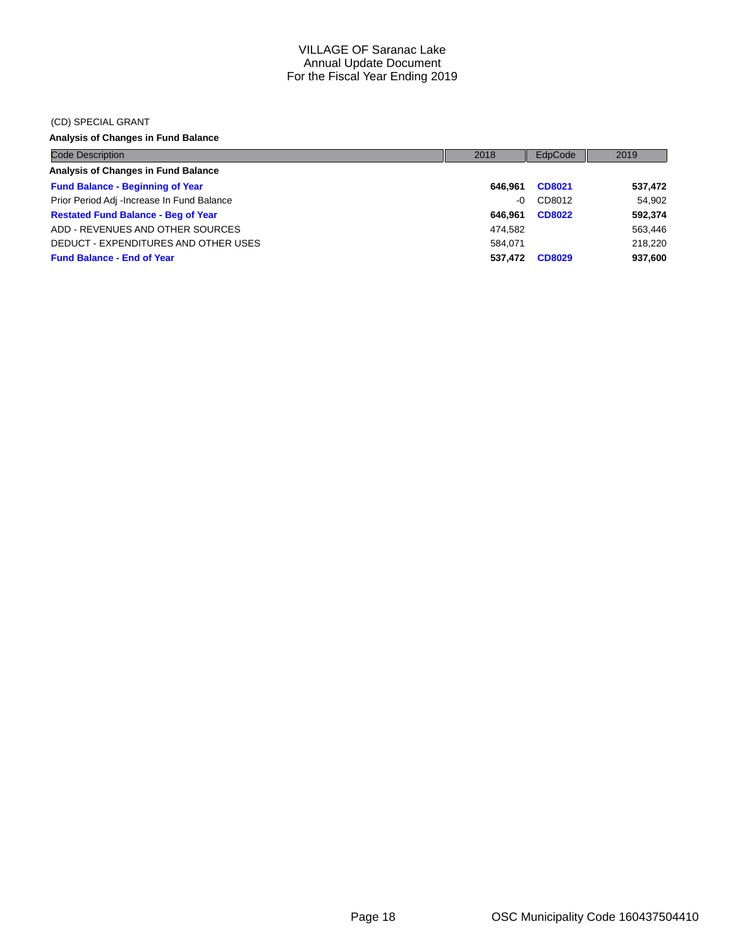#### (CD) SPECIAL GRANT

## **Analysis of Changes in Fund Balance**

| <b>Code Description</b>                    | 2018    | EdpCode       | 2019    |
|--------------------------------------------|---------|---------------|---------|
| Analysis of Changes in Fund Balance        |         |               |         |
| <b>Fund Balance - Beginning of Year</b>    | 646.961 | CD8021        | 537,472 |
| Prior Period Adj -Increase In Fund Balance | $-0$    | CD8012        | 54,902  |
| <b>Restated Fund Balance - Beg of Year</b> | 646.961 | <b>CD8022</b> | 592,374 |
| ADD - REVENUES AND OTHER SOURCES           | 474.582 |               | 563,446 |
| DEDUCT - EXPENDITURES AND OTHER USES       | 584.071 |               | 218.220 |
| <b>Fund Balance - End of Year</b>          | 537.472 | <b>CD8029</b> | 937,600 |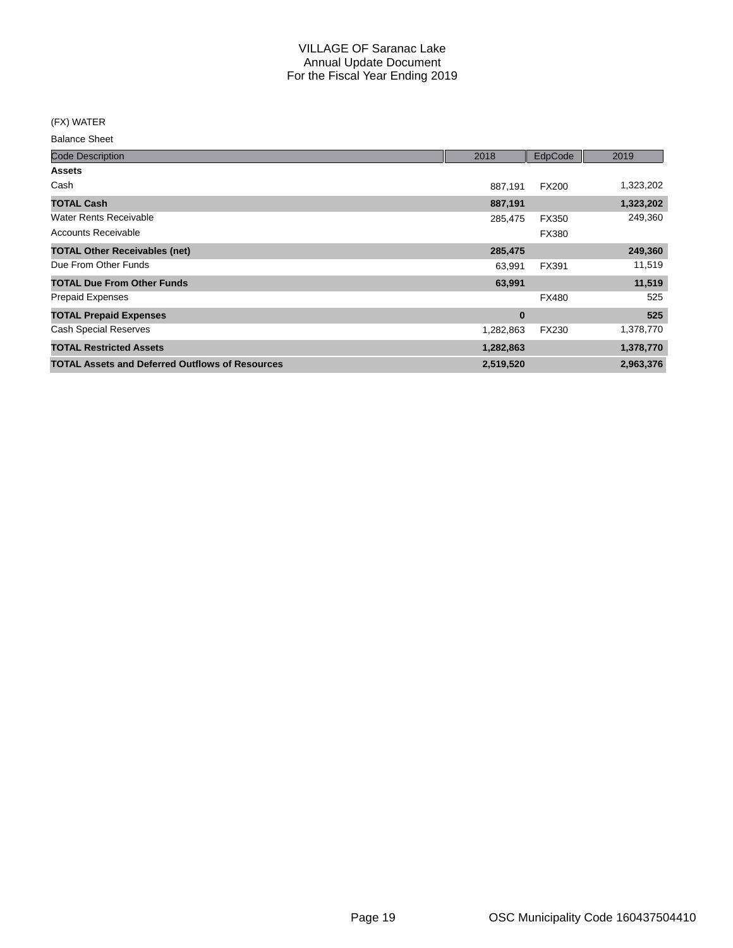(FX) WATER

Balance Sheet

| <b>Code Description</b>                                | 2018      | EdpCode      | 2019      |
|--------------------------------------------------------|-----------|--------------|-----------|
| <b>Assets</b>                                          |           |              |           |
| Cash                                                   | 887,191   | <b>FX200</b> | 1,323,202 |
| <b>TOTAL Cash</b>                                      | 887,191   |              | 1,323,202 |
| <b>Water Rents Receivable</b>                          | 285,475   | FX350        | 249,360   |
| <b>Accounts Receivable</b>                             |           | FX380        |           |
| <b>TOTAL Other Receivables (net)</b>                   | 285,475   |              | 249,360   |
| Due From Other Funds                                   | 63,991    | FX391        | 11,519    |
| <b>TOTAL Due From Other Funds</b>                      | 63,991    |              | 11,519    |
| <b>Prepaid Expenses</b>                                |           | <b>FX480</b> | 525       |
| <b>TOTAL Prepaid Expenses</b>                          | $\bf{0}$  |              | 525       |
| <b>Cash Special Reserves</b>                           | 1,282,863 | FX230        | 1,378,770 |
| <b>TOTAL Restricted Assets</b>                         | 1,282,863 |              | 1,378,770 |
| <b>TOTAL Assets and Deferred Outflows of Resources</b> | 2,519,520 |              | 2,963,376 |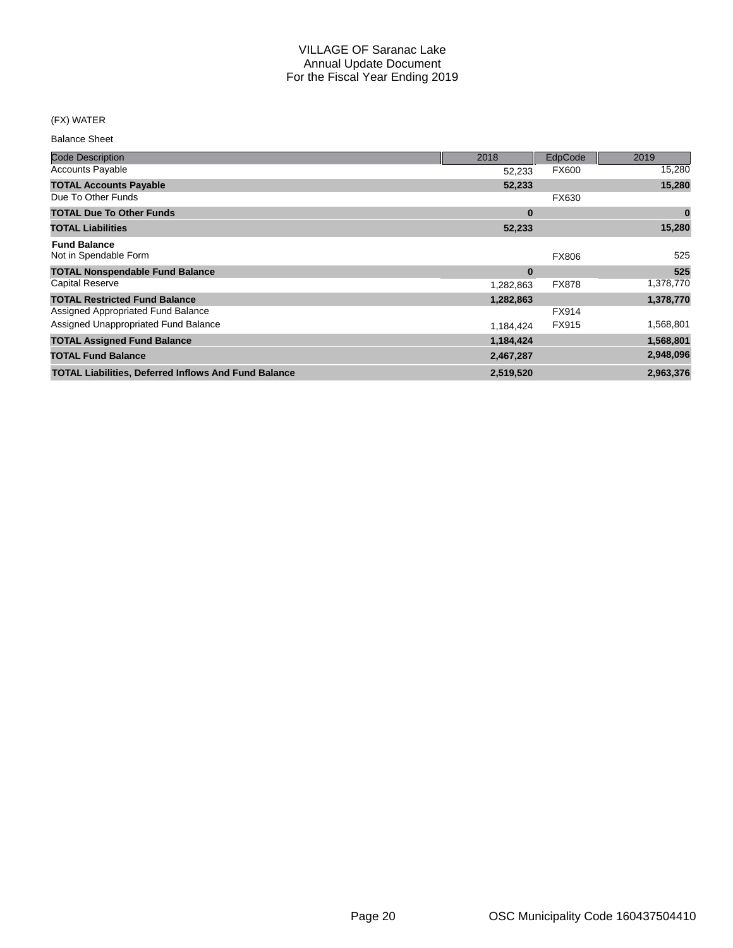### (FX) WATER

Balance Sheet

| <b>Code Description</b>                                     | 2018      | EdpCode      | 2019      |
|-------------------------------------------------------------|-----------|--------------|-----------|
| <b>Accounts Payable</b>                                     | 52,233    | <b>FX600</b> | 15,280    |
| <b>TOTAL Accounts Payable</b>                               | 52,233    |              | 15,280    |
| Due To Other Funds                                          |           | FX630        |           |
| <b>TOTAL Due To Other Funds</b>                             | $\bf{0}$  |              | $\bf{0}$  |
| <b>TOTAL Liabilities</b>                                    | 52,233    |              | 15,280    |
| <b>Fund Balance</b>                                         |           |              |           |
| Not in Spendable Form                                       |           | <b>FX806</b> | 525       |
| <b>TOTAL Nonspendable Fund Balance</b>                      | $\bf{0}$  |              | 525       |
| <b>Capital Reserve</b>                                      | 1,282,863 | <b>FX878</b> | 1,378,770 |
| <b>TOTAL Restricted Fund Balance</b>                        | 1,282,863 |              | 1,378,770 |
| Assigned Appropriated Fund Balance                          |           | FX914        |           |
| Assigned Unappropriated Fund Balance                        | 1,184,424 | FX915        | 1,568,801 |
| <b>TOTAL Assigned Fund Balance</b>                          | 1,184,424 |              | 1,568,801 |
| <b>TOTAL Fund Balance</b>                                   | 2,467,287 |              | 2,948,096 |
| <b>TOTAL Liabilities, Deferred Inflows And Fund Balance</b> | 2,519,520 |              | 2,963,376 |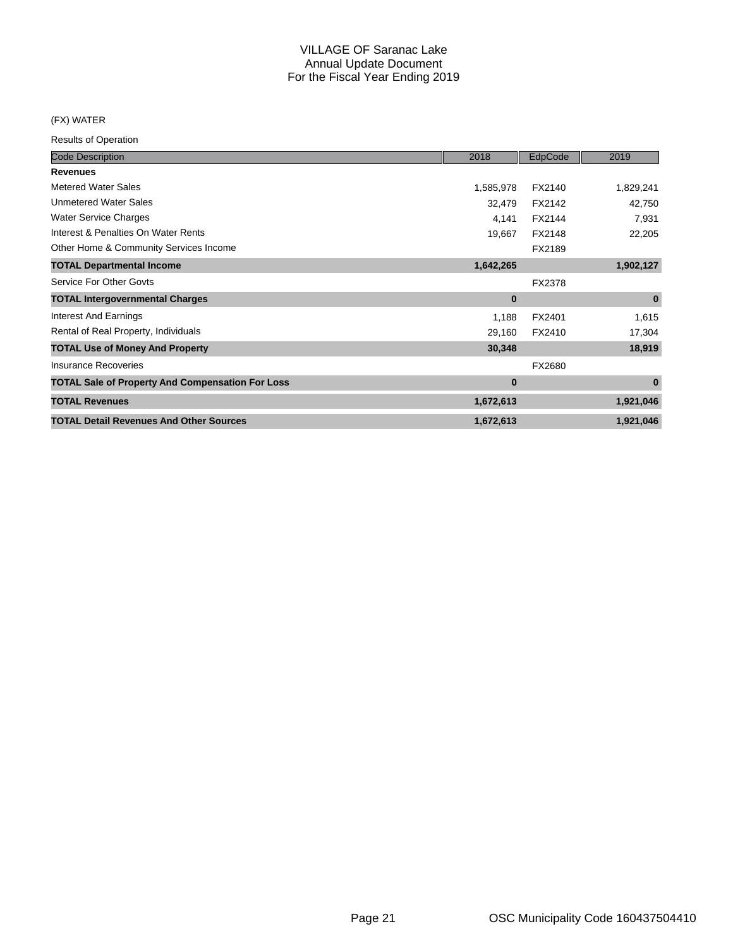### (FX) WATER

| <b>Code Description</b>                                 | 2018      | EdpCode | 2019      |
|---------------------------------------------------------|-----------|---------|-----------|
| <b>Revenues</b>                                         |           |         |           |
| <b>Metered Water Sales</b>                              | 1,585,978 | FX2140  | 1,829,241 |
| <b>Unmetered Water Sales</b>                            | 32,479    | FX2142  | 42,750    |
| <b>Water Service Charges</b>                            | 4,141     | FX2144  | 7,931     |
| Interest & Penalties On Water Rents                     | 19,667    | FX2148  | 22,205    |
| Other Home & Community Services Income                  |           | FX2189  |           |
| <b>TOTAL Departmental Income</b>                        | 1,642,265 |         | 1,902,127 |
| Service For Other Govts                                 |           | FX2378  |           |
| <b>TOTAL Intergovernmental Charges</b>                  | $\bf{0}$  |         | $\bf{0}$  |
| <b>Interest And Earnings</b>                            | 1,188     | FX2401  | 1,615     |
| Rental of Real Property, Individuals                    | 29,160    | FX2410  | 17,304    |
| <b>TOTAL Use of Money And Property</b>                  | 30,348    |         | 18,919    |
| <b>Insurance Recoveries</b>                             |           | FX2680  |           |
| <b>TOTAL Sale of Property And Compensation For Loss</b> | $\bf{0}$  |         | $\bf{0}$  |
| <b>TOTAL Revenues</b>                                   | 1,672,613 |         | 1,921,046 |
| <b>TOTAL Detail Revenues And Other Sources</b>          | 1,672,613 |         | 1,921,046 |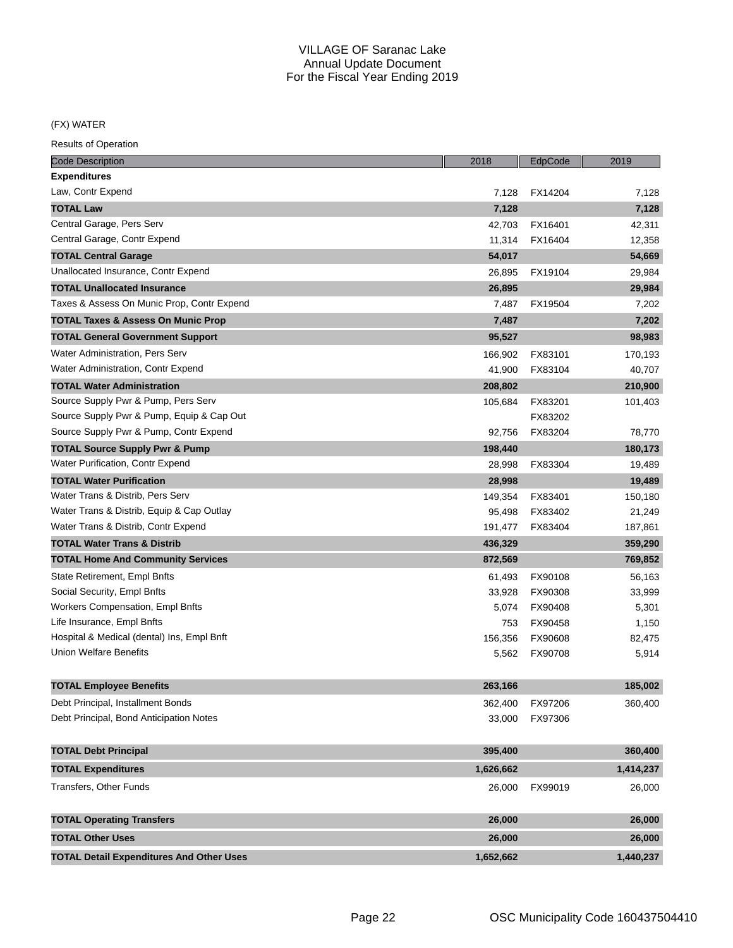(FX) WATER

| <b>Code Description</b>                         | 2018      | EdpCode | 2019      |
|-------------------------------------------------|-----------|---------|-----------|
| <b>Expenditures</b>                             |           |         |           |
| Law, Contr Expend                               | 7,128     | FX14204 | 7,128     |
| <b>TOTAL Law</b>                                | 7,128     |         | 7,128     |
| Central Garage, Pers Serv                       | 42,703    | FX16401 | 42,311    |
| Central Garage, Contr Expend                    | 11,314    | FX16404 | 12,358    |
| <b>TOTAL Central Garage</b>                     | 54,017    |         | 54,669    |
| Unallocated Insurance, Contr Expend             | 26,895    | FX19104 | 29,984    |
| <b>TOTAL Unallocated Insurance</b>              | 26,895    |         | 29,984    |
| Taxes & Assess On Munic Prop, Contr Expend      | 7,487     | FX19504 | 7,202     |
| <b>TOTAL Taxes &amp; Assess On Munic Prop</b>   | 7,487     |         | 7,202     |
| <b>TOTAL General Government Support</b>         | 95,527    |         | 98,983    |
| Water Administration, Pers Serv                 | 166,902   | FX83101 | 170,193   |
| Water Administration, Contr Expend              | 41,900    | FX83104 | 40,707    |
| <b>TOTAL Water Administration</b>               | 208,802   |         | 210,900   |
| Source Supply Pwr & Pump, Pers Serv             | 105,684   | FX83201 | 101,403   |
| Source Supply Pwr & Pump, Equip & Cap Out       |           | FX83202 |           |
| Source Supply Pwr & Pump, Contr Expend          | 92,756    | FX83204 | 78,770    |
| <b>TOTAL Source Supply Pwr &amp; Pump</b>       | 198,440   |         | 180,173   |
| Water Purification, Contr Expend                | 28,998    | FX83304 | 19,489    |
| <b>TOTAL Water Purification</b>                 | 28,998    |         | 19,489    |
| Water Trans & Distrib, Pers Serv                | 149,354   | FX83401 | 150,180   |
| Water Trans & Distrib, Equip & Cap Outlay       | 95,498    | FX83402 | 21,249    |
| Water Trans & Distrib, Contr Expend             | 191,477   | FX83404 | 187,861   |
| <b>TOTAL Water Trans &amp; Distrib</b>          | 436,329   |         | 359,290   |
| <b>TOTAL Home And Community Services</b>        | 872,569   |         | 769,852   |
| State Retirement, Empl Bnfts                    | 61,493    | FX90108 | 56,163    |
| Social Security, Empl Bnfts                     | 33,928    | FX90308 | 33,999    |
| Workers Compensation, Empl Bnfts                | 5,074     | FX90408 | 5,301     |
| Life Insurance, Empl Bnfts                      | 753       | FX90458 | 1,150     |
| Hospital & Medical (dental) Ins, Empl Bnft      | 156,356   | FX90608 | 82,475    |
| <b>Union Welfare Benefits</b>                   | 5,562     | FX90708 | 5,914     |
| <b>TOTAL Employee Benefits</b>                  | 263,166   |         | 185,002   |
| Debt Principal, Installment Bonds               | 362,400   | FX97206 | 360,400   |
| Debt Principal, Bond Anticipation Notes         | 33,000    | FX97306 |           |
| <b>TOTAL Debt Principal</b>                     | 395,400   |         | 360,400   |
| <b>TOTAL Expenditures</b>                       | 1,626,662 |         | 1,414,237 |
| <b>Transfers, Other Funds</b>                   |           |         |           |
|                                                 | 26,000    | FX99019 | 26,000    |
| <b>TOTAL Operating Transfers</b>                | 26,000    |         | 26,000    |
| <b>TOTAL Other Uses</b>                         | 26,000    |         | 26,000    |
| <b>TOTAL Detail Expenditures And Other Uses</b> | 1,652,662 |         | 1,440,237 |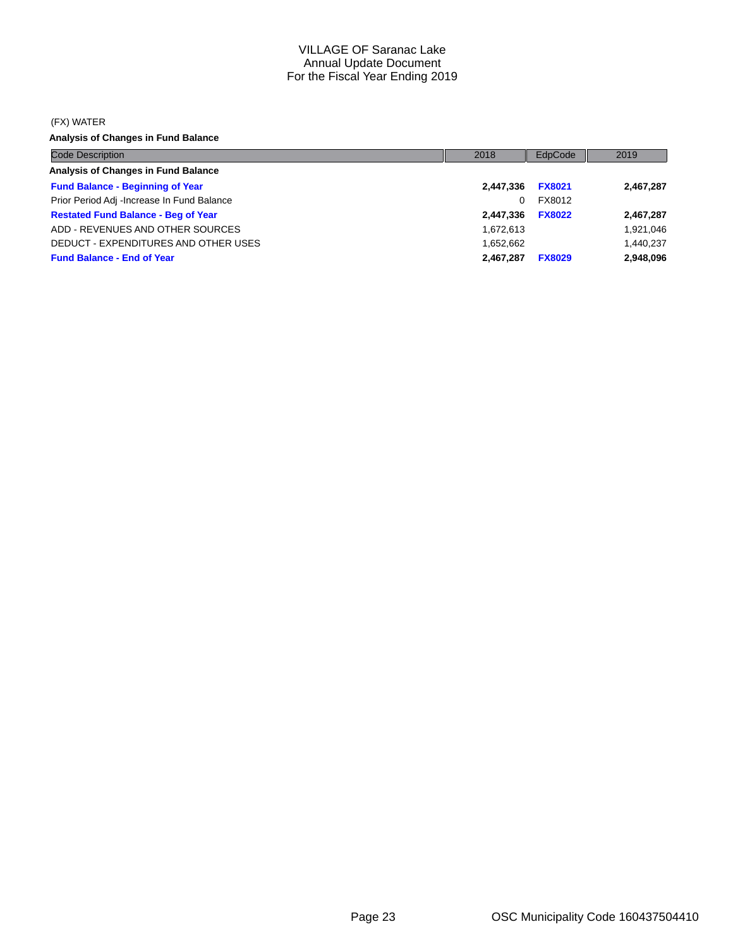#### (FX) WATER

**Analysis of Changes in Fund Balance**

| <b>Code Description</b>                    | 2018      | EdpCode       | 2019      |
|--------------------------------------------|-----------|---------------|-----------|
| Analysis of Changes in Fund Balance        |           |               |           |
| <b>Fund Balance - Beginning of Year</b>    | 2,447,336 | <b>FX8021</b> | 2,467,287 |
| Prior Period Adj -Increase In Fund Balance | 0         | FX8012        |           |
| <b>Restated Fund Balance - Beg of Year</b> | 2,447,336 | <b>FX8022</b> | 2,467,287 |
| ADD - REVENUES AND OTHER SOURCES           | 1,672,613 |               | 1,921,046 |
| DEDUCT - EXPENDITURES AND OTHER USES       | 1.652.662 |               | 1,440,237 |
| <b>Fund Balance - End of Year</b>          | 2.467.287 | <b>FX8029</b> | 2,948,096 |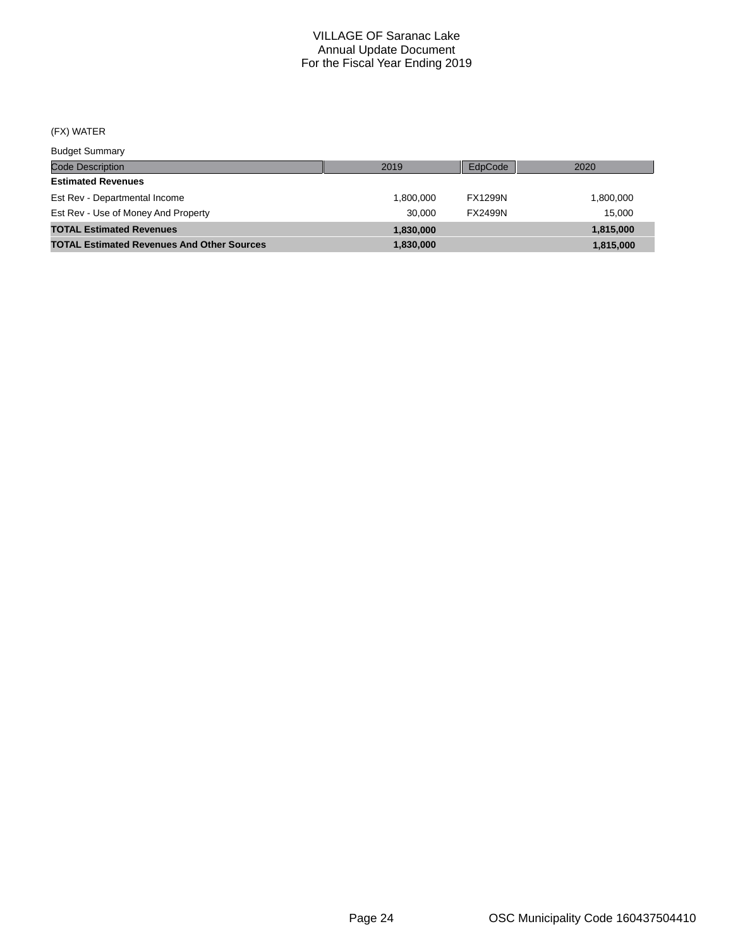## (FX) WATER

Budget Summary

| <b>DUUYUL OUITHIULY</b>                           |           |                |           |
|---------------------------------------------------|-----------|----------------|-----------|
| <b>Code Description</b>                           | 2019      | EdpCode        | 2020      |
| <b>Estimated Revenues</b>                         |           |                |           |
| Est Rev - Departmental Income                     | 1.800.000 | <b>FX1299N</b> | 1,800,000 |
| Est Rev - Use of Money And Property               | 30,000    | <b>FX2499N</b> | 15.000    |
| <b>TOTAL Estimated Revenues</b>                   | 1.830.000 |                | 1,815,000 |
| <b>TOTAL Estimated Revenues And Other Sources</b> | 1.830.000 |                | 1,815,000 |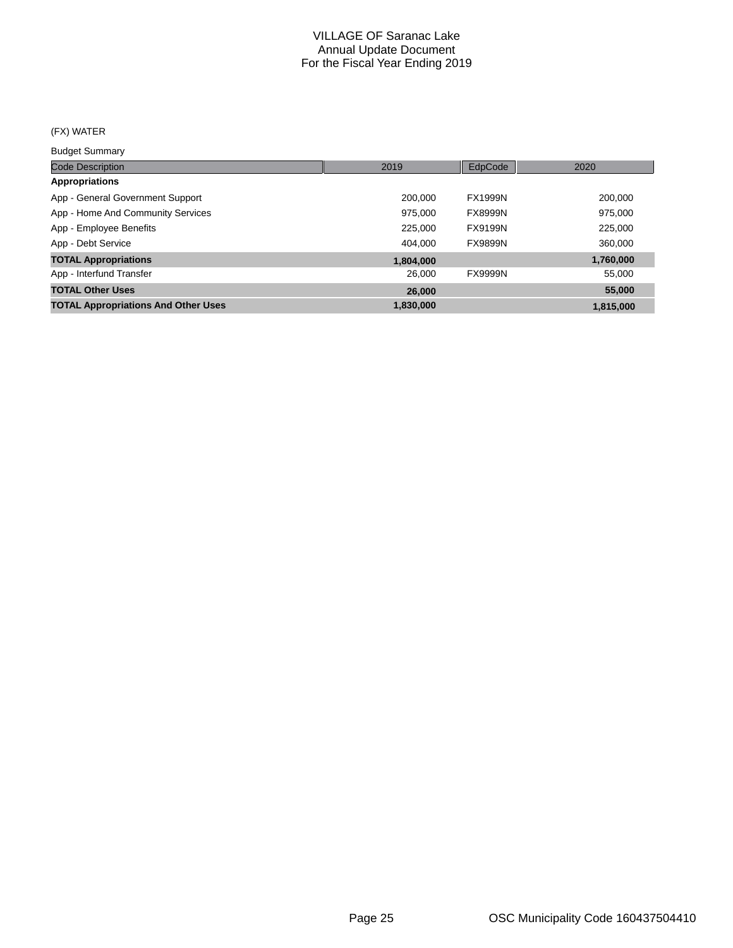## (FX) WATER

Budget Summary

| <b>Code Description</b>                    | 2019      | EdpCode        | 2020      |
|--------------------------------------------|-----------|----------------|-----------|
| <b>Appropriations</b>                      |           |                |           |
| App - General Government Support           | 200.000   | <b>FX1999N</b> | 200,000   |
| App - Home And Community Services          | 975.000   | <b>FX8999N</b> | 975,000   |
| App - Employee Benefits                    | 225,000   | FX9199N        | 225,000   |
| App - Debt Service                         | 404.000   | <b>FX9899N</b> | 360,000   |
| <b>TOTAL Appropriations</b>                | 1,804,000 |                | 1,760,000 |
| App - Interfund Transfer                   | 26,000    | <b>FX9999N</b> | 55,000    |
| <b>TOTAL Other Uses</b>                    | 26,000    |                | 55,000    |
| <b>TOTAL Appropriations And Other Uses</b> | 1,830,000 |                | 1,815,000 |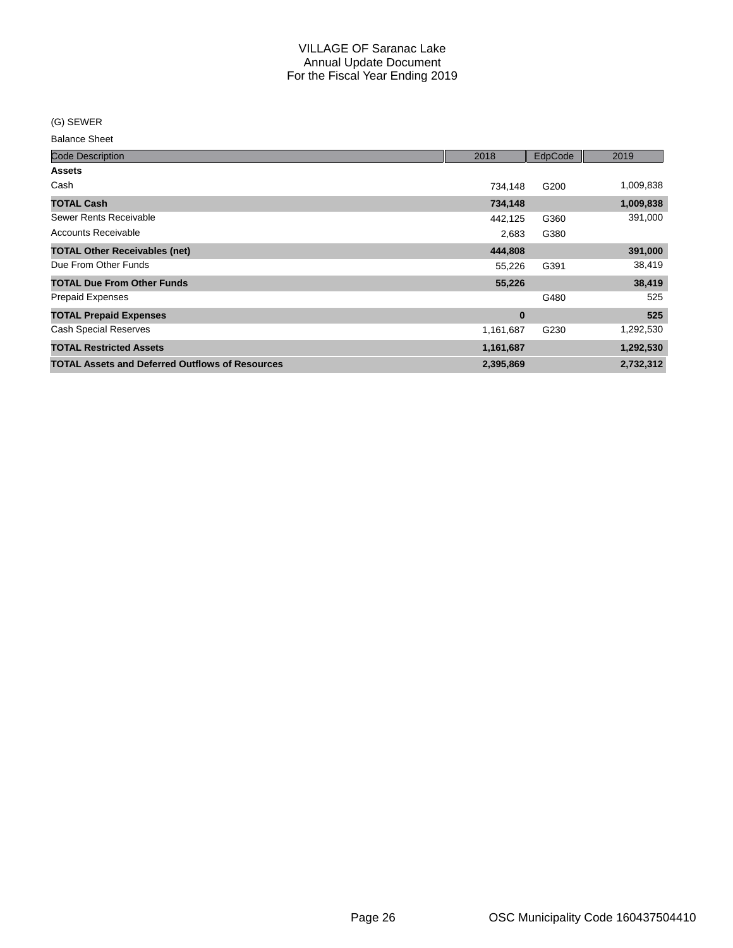(G) SEWER

Balance Sheet

| <b>Code Description</b>                                | 2018      | EdpCode | 2019      |
|--------------------------------------------------------|-----------|---------|-----------|
| <b>Assets</b>                                          |           |         |           |
| Cash                                                   | 734,148   | G200    | 1,009,838 |
| <b>TOTAL Cash</b>                                      | 734,148   |         | 1,009,838 |
| Sewer Rents Receivable                                 | 442,125   | G360    | 391,000   |
| <b>Accounts Receivable</b>                             | 2,683     | G380    |           |
| <b>TOTAL Other Receivables (net)</b>                   | 444,808   |         | 391,000   |
| Due From Other Funds                                   | 55,226    | G391    | 38,419    |
| <b>TOTAL Due From Other Funds</b>                      | 55,226    |         | 38,419    |
| <b>Prepaid Expenses</b>                                |           | G480    | 525       |
| <b>TOTAL Prepaid Expenses</b>                          | $\bf{0}$  |         | 525       |
| <b>Cash Special Reserves</b>                           | 1,161,687 | G230    | 1,292,530 |
| <b>TOTAL Restricted Assets</b>                         | 1,161,687 |         | 1,292,530 |
| <b>TOTAL Assets and Deferred Outflows of Resources</b> | 2,395,869 |         | 2,732,312 |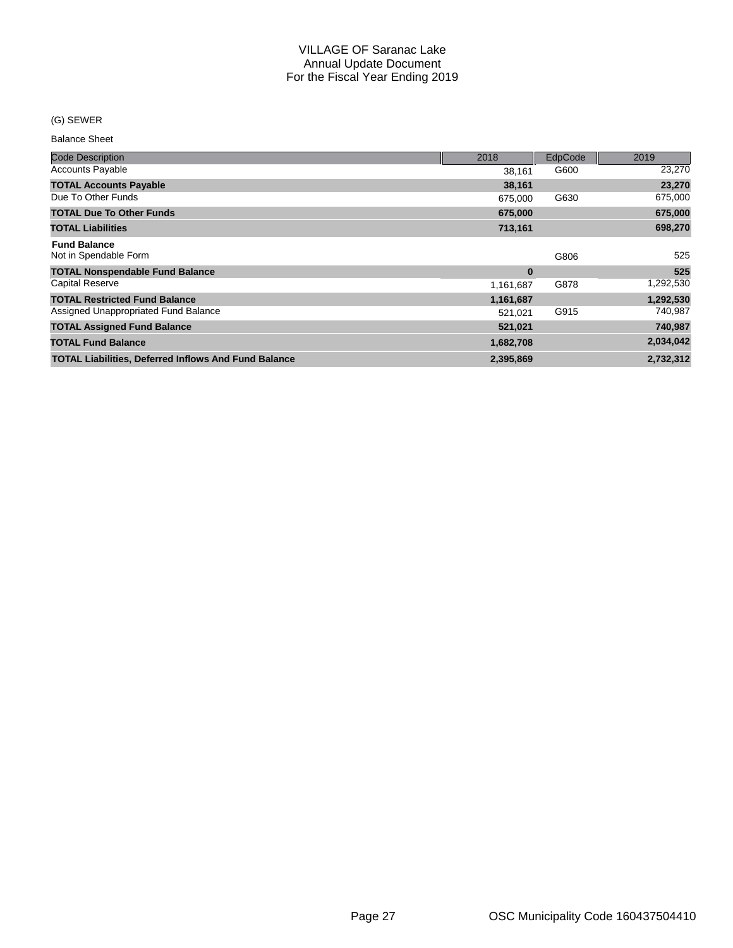### (G) SEWER

Balance Sheet

| <b>Code Description</b>                                     | 2018      | EdpCode | 2019      |
|-------------------------------------------------------------|-----------|---------|-----------|
| <b>Accounts Payable</b>                                     | 38.161    | G600    | 23,270    |
| <b>TOTAL Accounts Payable</b>                               | 38,161    |         | 23,270    |
| Due To Other Funds                                          | 675,000   | G630    | 675,000   |
| <b>TOTAL Due To Other Funds</b>                             | 675,000   |         | 675,000   |
| <b>TOTAL Liabilities</b>                                    | 713,161   |         | 698,270   |
| <b>Fund Balance</b><br>Not in Spendable Form                |           | G806    | 525       |
| <b>TOTAL Nonspendable Fund Balance</b>                      | $\bf{0}$  |         | 525       |
| <b>Capital Reserve</b>                                      | 1,161,687 | G878    | 1,292,530 |
| <b>TOTAL Restricted Fund Balance</b>                        | 1,161,687 |         | 1,292,530 |
| Assigned Unappropriated Fund Balance                        | 521,021   | G915    | 740,987   |
| <b>TOTAL Assigned Fund Balance</b>                          | 521,021   |         | 740,987   |
| <b>TOTAL Fund Balance</b>                                   | 1,682,708 |         | 2,034,042 |
| <b>TOTAL Liabilities, Deferred Inflows And Fund Balance</b> | 2,395,869 |         | 2,732,312 |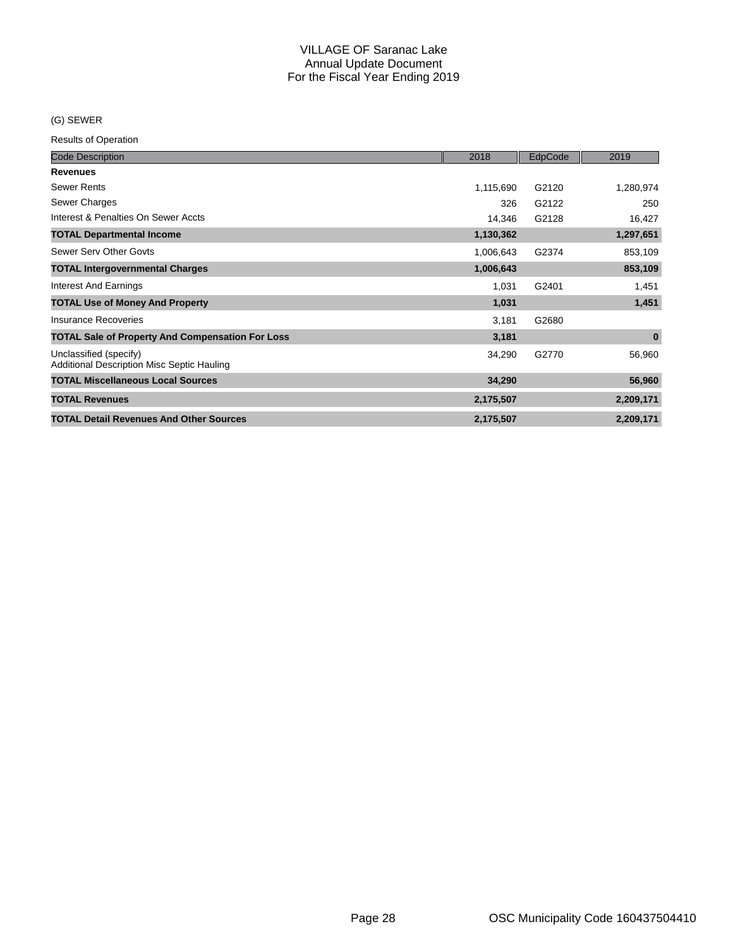### (G) SEWER

| <b>Code Description</b>                                                     | 2018      | EdpCode | 2019      |
|-----------------------------------------------------------------------------|-----------|---------|-----------|
| <b>Revenues</b>                                                             |           |         |           |
| <b>Sewer Rents</b>                                                          | 1,115,690 | G2120   | 1,280,974 |
| Sewer Charges                                                               | 326       | G2122   | 250       |
| Interest & Penalties On Sewer Accts                                         | 14,346    | G2128   | 16,427    |
| <b>TOTAL Departmental Income</b>                                            | 1,130,362 |         | 1,297,651 |
| Sewer Serv Other Govts                                                      | 1,006,643 | G2374   | 853,109   |
| <b>TOTAL Intergovernmental Charges</b>                                      | 1,006,643 |         | 853,109   |
| Interest And Earnings                                                       | 1,031     | G2401   | 1,451     |
| <b>TOTAL Use of Money And Property</b>                                      | 1,031     |         | 1,451     |
| Insurance Recoveries                                                        | 3,181     | G2680   |           |
| <b>TOTAL Sale of Property And Compensation For Loss</b>                     | 3,181     |         | $\bf{0}$  |
| Unclassified (specify)<br><b>Additional Description Misc Septic Hauling</b> | 34,290    | G2770   | 56,960    |
| <b>TOTAL Miscellaneous Local Sources</b>                                    | 34,290    |         | 56,960    |
| <b>TOTAL Revenues</b>                                                       | 2,175,507 |         | 2,209,171 |
| <b>TOTAL Detail Revenues And Other Sources</b>                              | 2,175,507 |         | 2,209,171 |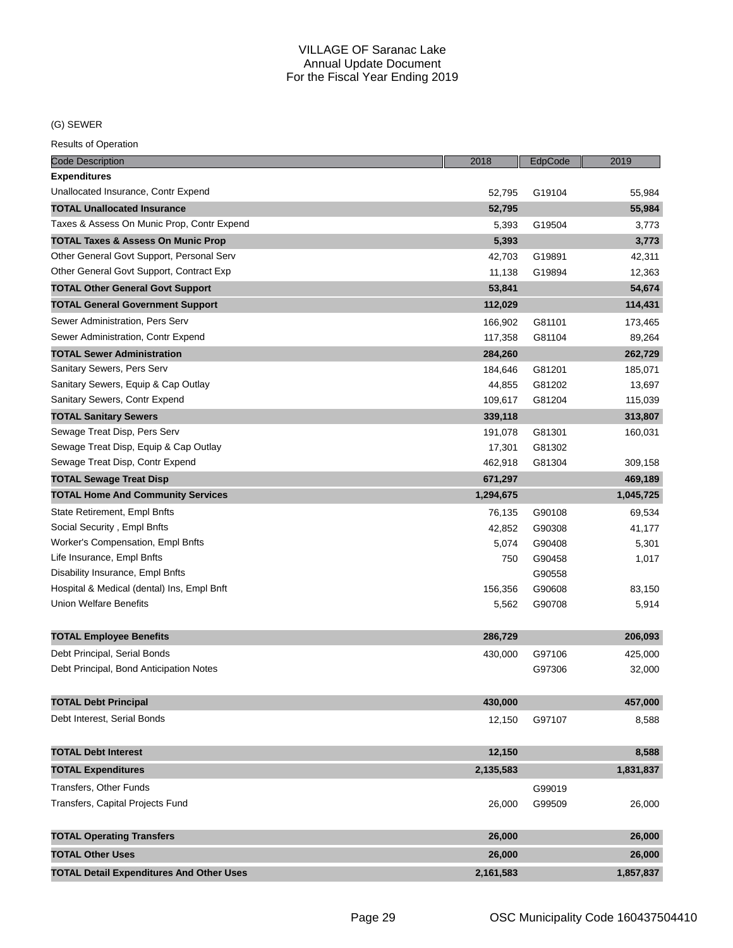(G) SEWER

| <b>Code Description</b>                         | 2018      | EdpCode | 2019      |
|-------------------------------------------------|-----------|---------|-----------|
| <b>Expenditures</b>                             |           |         |           |
| Unallocated Insurance, Contr Expend             | 52,795    | G19104  | 55,984    |
| <b>TOTAL Unallocated Insurance</b>              | 52,795    |         | 55,984    |
| Taxes & Assess On Munic Prop, Contr Expend      | 5,393     | G19504  | 3,773     |
| TOTAL Taxes & Assess On Munic Prop              | 5,393     |         | 3,773     |
| Other General Govt Support, Personal Serv       | 42,703    | G19891  | 42,311    |
| Other General Govt Support, Contract Exp        | 11,138    | G19894  | 12,363    |
| <b>TOTAL Other General Govt Support</b>         | 53,841    |         | 54,674    |
| <b>TOTAL General Government Support</b>         | 112,029   |         | 114,431   |
| Sewer Administration, Pers Serv                 | 166,902   | G81101  | 173,465   |
| Sewer Administration, Contr Expend              | 117,358   | G81104  | 89,264    |
| <b>TOTAL Sewer Administration</b>               | 284,260   |         | 262,729   |
| Sanitary Sewers, Pers Serv                      | 184,646   | G81201  | 185,071   |
| Sanitary Sewers, Equip & Cap Outlay             | 44,855    | G81202  | 13,697    |
| Sanitary Sewers, Contr Expend                   | 109,617   | G81204  | 115,039   |
| <b>TOTAL Sanitary Sewers</b>                    | 339,118   |         | 313,807   |
| Sewage Treat Disp, Pers Serv                    | 191,078   | G81301  | 160,031   |
| Sewage Treat Disp, Equip & Cap Outlay           | 17,301    | G81302  |           |
| Sewage Treat Disp, Contr Expend                 | 462,918   | G81304  | 309,158   |
| <b>TOTAL Sewage Treat Disp</b>                  | 671,297   |         | 469,189   |
| <b>TOTAL Home And Community Services</b>        | 1,294,675 |         | 1,045,725 |
| State Retirement, Empl Bnfts                    | 76,135    | G90108  | 69,534    |
| Social Security, Empl Bnfts                     | 42,852    | G90308  | 41,177    |
| Worker's Compensation, Empl Bnfts               | 5,074     | G90408  | 5,301     |
| Life Insurance, Empl Bnfts                      | 750       | G90458  | 1,017     |
| Disability Insurance, Empl Bnfts                |           | G90558  |           |
| Hospital & Medical (dental) Ins, Empl Bnft      | 156,356   | G90608  | 83,150    |
| Union Welfare Benefits                          | 5,562     | G90708  | 5,914     |
|                                                 |           |         |           |
| <b>TOTAL Employee Benefits</b>                  | 286,729   |         | 206,093   |
| Debt Principal, Serial Bonds                    | 430,000   | G97106  | 425,000   |
| Debt Principal, Bond Anticipation Notes         |           | G97306  | 32,000    |
|                                                 |           |         |           |
| <b>TOTAL Debt Principal</b>                     | 430,000   |         | 457,000   |
| Debt Interest, Serial Bonds                     | 12,150    | G97107  | 8,588     |
|                                                 |           |         |           |
| <b>TOTAL Debt Interest</b>                      | 12,150    |         | 8,588     |
| <b>TOTAL Expenditures</b>                       | 2,135,583 |         | 1,831,837 |
| Transfers, Other Funds                          |           | G99019  |           |
| Transfers, Capital Projects Fund                | 26,000    | G99509  | 26,000    |
|                                                 |           |         |           |
| <b>TOTAL Operating Transfers</b>                | 26,000    |         | 26,000    |
| <b>TOTAL Other Uses</b>                         | 26,000    |         | 26,000    |
| <b>TOTAL Detail Expenditures And Other Uses</b> | 2,161,583 |         | 1,857,837 |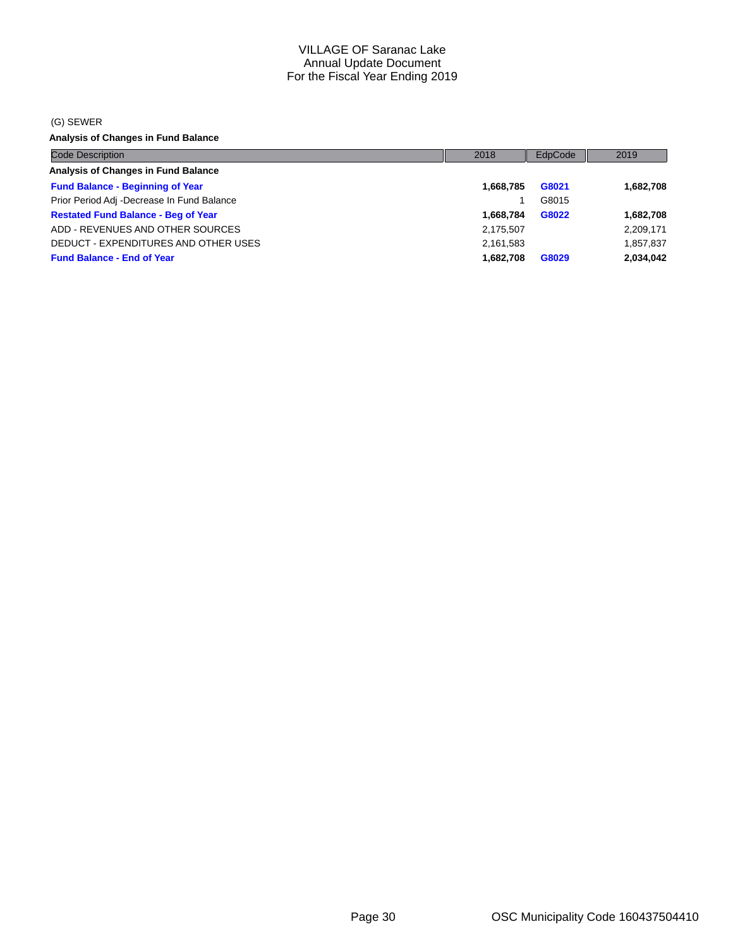#### (G) SEWER

**Analysis of Changes in Fund Balance**

| <b>Code Description</b>                    | 2018      | EdpCode | 2019      |
|--------------------------------------------|-----------|---------|-----------|
| Analysis of Changes in Fund Balance        |           |         |           |
| <b>Fund Balance - Beginning of Year</b>    | 1,668,785 | G8021   | 1,682,708 |
| Prior Period Adj -Decrease In Fund Balance |           | G8015   |           |
| <b>Restated Fund Balance - Beg of Year</b> | 1.668.784 | G8022   | 1,682,708 |
| ADD - REVENUES AND OTHER SOURCES           | 2,175,507 |         | 2,209,171 |
| DEDUCT - EXPENDITURES AND OTHER USES       | 2,161,583 |         | 1,857,837 |
| <b>Fund Balance - End of Year</b>          | 1.682.708 | G8029   | 2,034,042 |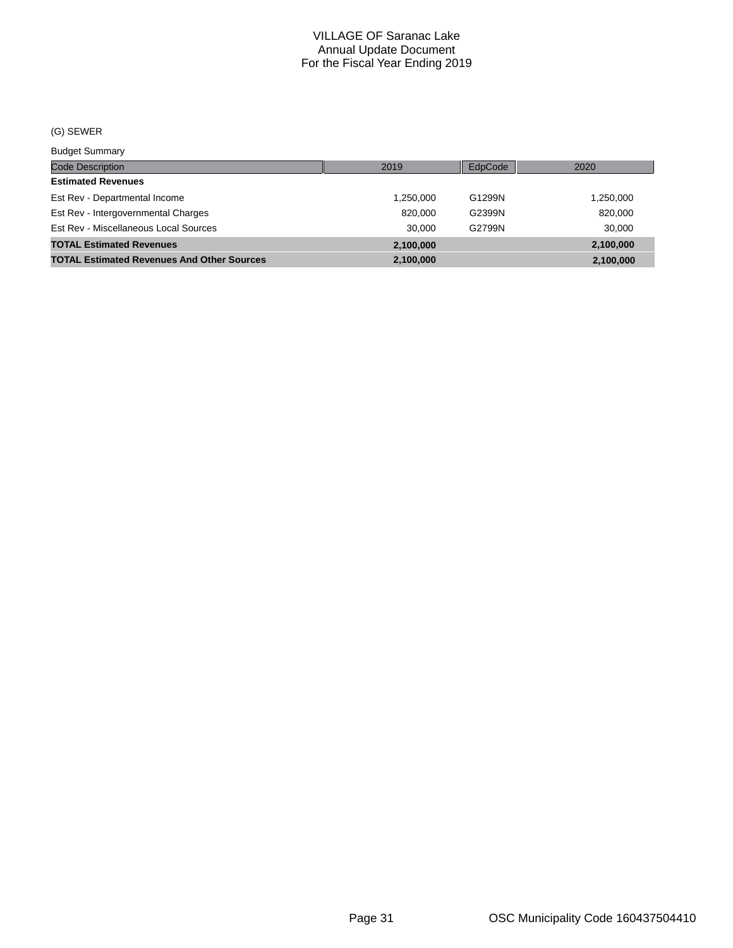#### (G) SEWER

Budget Summary

| <b>DUUYUL OUITHIULY</b>                           |           |         |           |
|---------------------------------------------------|-----------|---------|-----------|
| <b>Code Description</b>                           | 2019      | EdpCode | 2020      |
| <b>Estimated Revenues</b>                         |           |         |           |
| Est Rev - Departmental Income                     | 1.250.000 | G1299N  | 1,250,000 |
| Est Rev - Intergovernmental Charges               | 820,000   | G2399N  | 820,000   |
| Est Rev - Miscellaneous Local Sources             | 30.000    | G2799N  | 30,000    |
| <b>TOTAL Estimated Revenues</b>                   | 2,100,000 |         | 2,100,000 |
| <b>TOTAL Estimated Revenues And Other Sources</b> | 2,100,000 |         | 2,100,000 |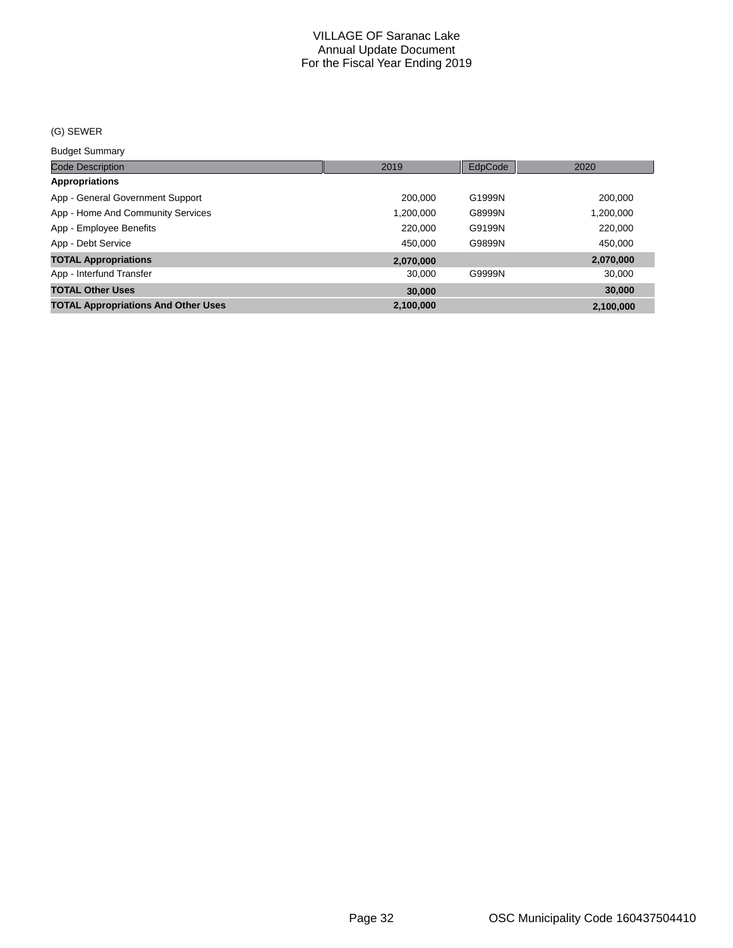#### (G) SEWER

Budget Summary

| ___________________                        |           |         |           |
|--------------------------------------------|-----------|---------|-----------|
| <b>Code Description</b>                    | 2019      | EdpCode | 2020      |
| <b>Appropriations</b>                      |           |         |           |
| App - General Government Support           | 200.000   | G1999N  | 200,000   |
| App - Home And Community Services          | 1,200,000 | G8999N  | 1,200,000 |
| App - Employee Benefits                    | 220,000   | G9199N  | 220,000   |
| App - Debt Service                         | 450.000   | G9899N  | 450.000   |
| <b>TOTAL Appropriations</b>                | 2,070,000 |         | 2,070,000 |
| App - Interfund Transfer                   | 30,000    | G9999N  | 30,000    |
| <b>TOTAL Other Uses</b>                    | 30,000    |         | 30,000    |
| <b>TOTAL Appropriations And Other Uses</b> | 2.100.000 |         | 2,100,000 |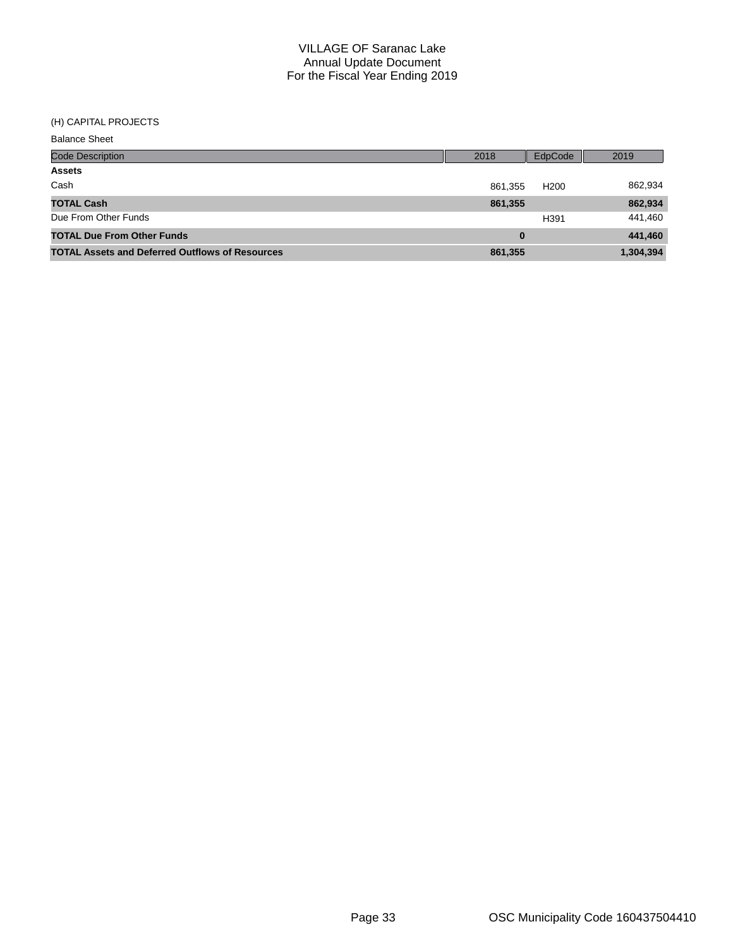#### (H) CAPITAL PROJECTS

| <b>Balance Sheet</b>                                   |         |                  |           |
|--------------------------------------------------------|---------|------------------|-----------|
| <b>Code Description</b>                                | 2018    | EdpCode          | 2019      |
| <b>Assets</b>                                          |         |                  |           |
| Cash                                                   | 861,355 | H <sub>200</sub> | 862,934   |
| <b>TOTAL Cash</b>                                      | 861,355 |                  | 862,934   |
| Due From Other Funds                                   |         | H391             | 441,460   |
| <b>TOTAL Due From Other Funds</b>                      | 0       |                  | 441,460   |
| <b>TOTAL Assets and Deferred Outflows of Resources</b> | 861,355 |                  | 1,304,394 |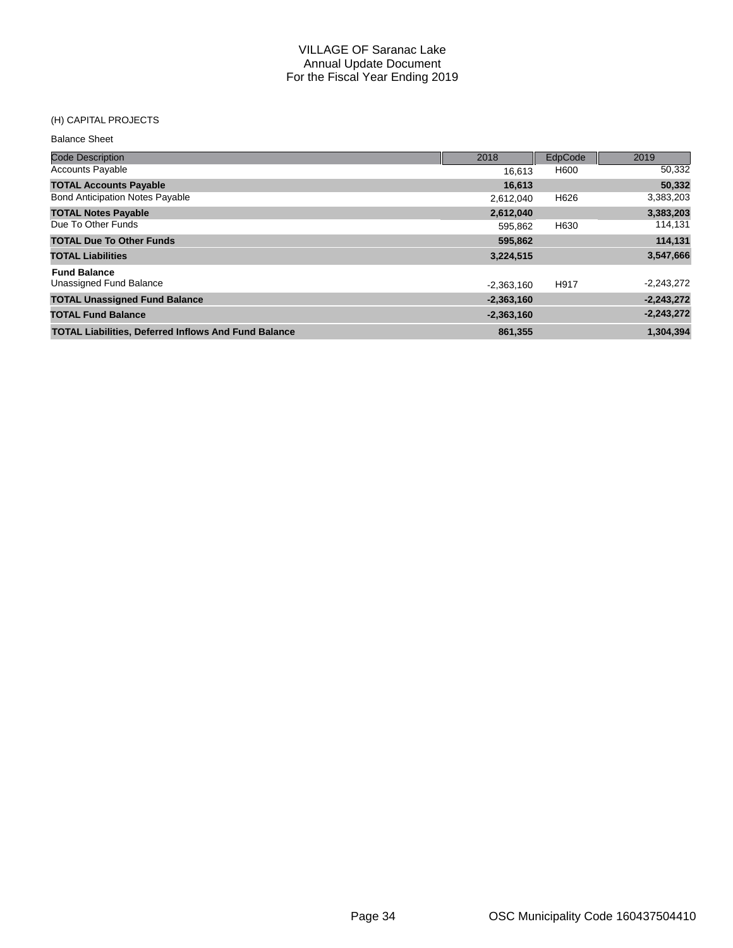#### (H) CAPITAL PROJECTS

## Code Description 2018 EdpCode 2019 Balance Sheet Accounts Payable 16,613 H600 50,332 **TOTAL Accounts Payable 16,613 50,332** Bond Anticipation Notes Payable 2,612,040 H626 **TOTAL Notes Payable 2,612,040 3,383,203** Due To Other Funds **Funds** 595,862 H630 **TOTAL Due To Other Funds 595,862 114,131 TOTAL Liabilities 3,224,515 3,547,666 Fund Balance** Unassigned Fund Balance **-2,243,272** -2,363,160 H917 -2,363,160 H917 -2,243,272 **TOTAL Unassigned Fund Balance -2,363,160 -2,243,272 TOTAL Fund Balance -2,363,160 -2,243,272 TOTAL Liabilities, Deferred Inflows And Fund Balance 861,355 1,304,394**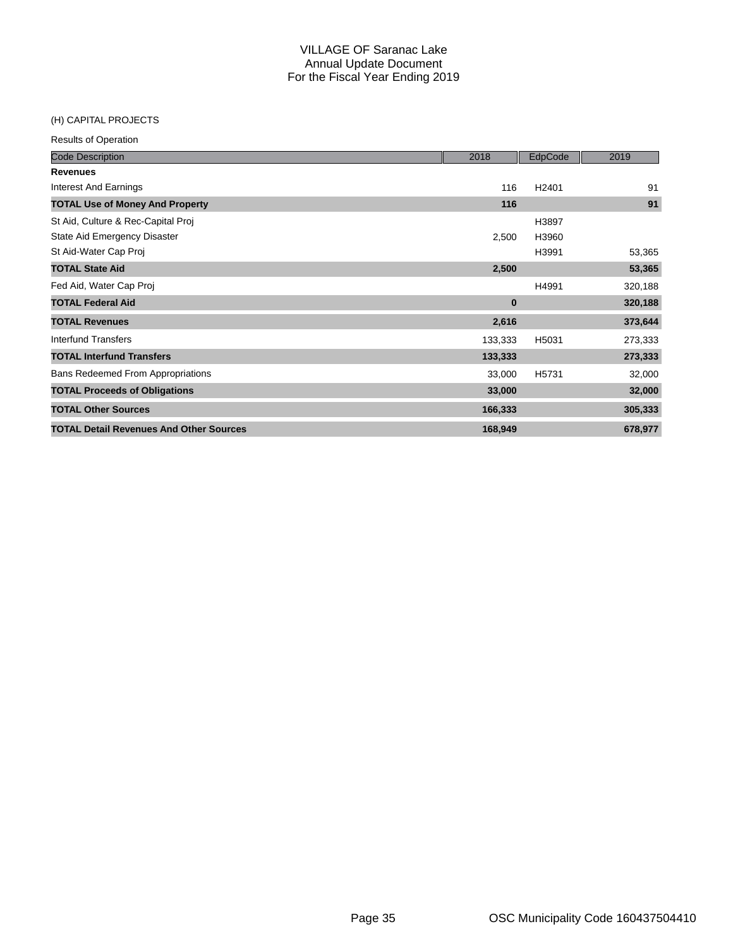### (H) CAPITAL PROJECTS

| <b>Code Description</b>                        | 2018     | EdpCode           | 2019    |
|------------------------------------------------|----------|-------------------|---------|
| <b>Revenues</b>                                |          |                   |         |
| Interest And Earnings                          | 116      | H <sub>2401</sub> | 91      |
| <b>TOTAL Use of Money And Property</b>         | 116      |                   | 91      |
| St Aid, Culture & Rec-Capital Proj             |          | H3897             |         |
| State Aid Emergency Disaster                   | 2,500    | H3960             |         |
| St Aid-Water Cap Proj                          |          | H3991             | 53,365  |
| <b>TOTAL State Aid</b>                         | 2,500    |                   | 53,365  |
| Fed Aid, Water Cap Proj                        |          | H4991             | 320,188 |
| <b>TOTAL Federal Aid</b>                       | $\bf{0}$ |                   | 320,188 |
| <b>TOTAL Revenues</b>                          | 2,616    |                   | 373,644 |
| <b>Interfund Transfers</b>                     | 133,333  | H5031             | 273,333 |
| <b>TOTAL Interfund Transfers</b>               | 133,333  |                   | 273,333 |
| <b>Bans Redeemed From Appropriations</b>       | 33,000   | H5731             | 32,000  |
| <b>TOTAL Proceeds of Obligations</b>           | 33,000   |                   | 32,000  |
| <b>TOTAL Other Sources</b>                     | 166,333  |                   | 305,333 |
| <b>TOTAL Detail Revenues And Other Sources</b> | 168,949  |                   | 678,977 |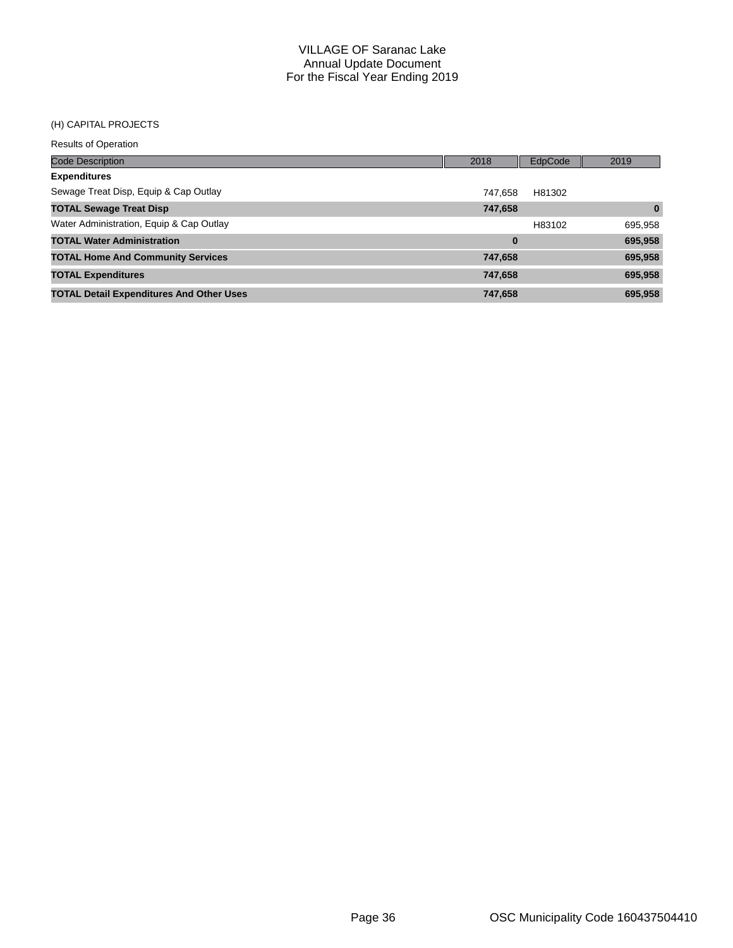## (H) CAPITAL PROJECTS

| <b>Code Description</b>                         | 2018     | EdpCode | 2019     |
|-------------------------------------------------|----------|---------|----------|
| <b>Expenditures</b>                             |          |         |          |
| Sewage Treat Disp, Equip & Cap Outlay           | 747.658  | H81302  |          |
| <b>TOTAL Sewage Treat Disp</b>                  | 747,658  |         | $\bf{0}$ |
| Water Administration, Equip & Cap Outlay        |          | H83102  | 695,958  |
| <b>TOTAL Water Administration</b>               | $\bf{0}$ |         | 695,958  |
| <b>TOTAL Home And Community Services</b>        | 747,658  |         | 695,958  |
| <b>TOTAL Expenditures</b>                       | 747,658  |         | 695,958  |
| <b>TOTAL Detail Expenditures And Other Uses</b> | 747,658  |         | 695,958  |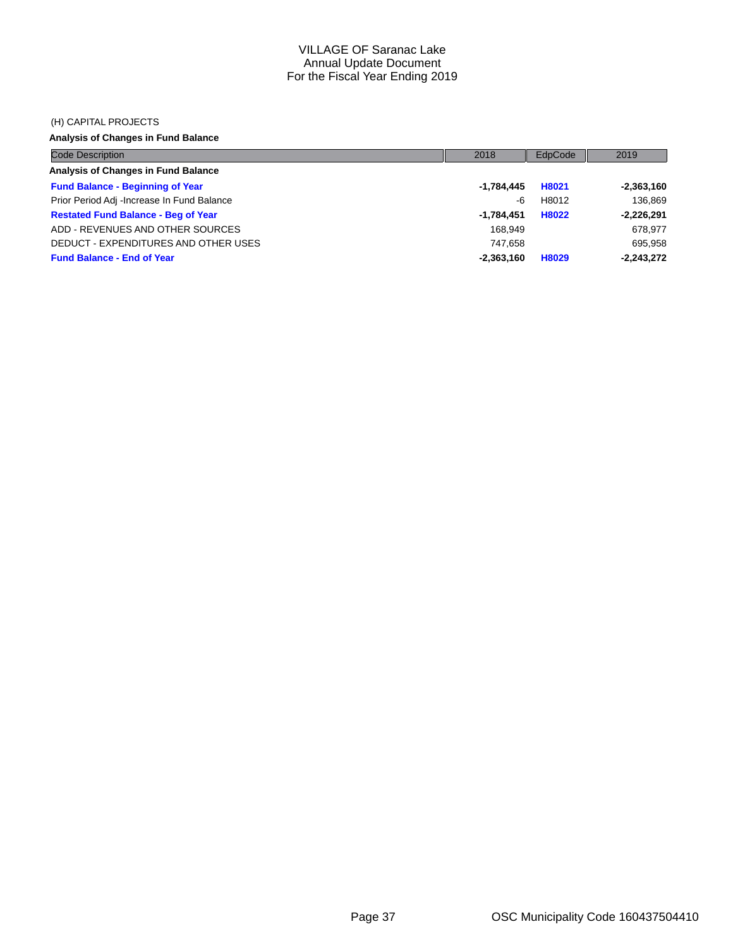#### (H) CAPITAL PROJECTS

## **Analysis of Changes in Fund Balance**

| <b>Code Description</b>                    | 2018         | EdpCode | 2019         |
|--------------------------------------------|--------------|---------|--------------|
| Analysis of Changes in Fund Balance        |              |         |              |
| <b>Fund Balance - Beginning of Year</b>    | -1,784,445   | H8021   | $-2,363,160$ |
| Prior Period Adj -Increase In Fund Balance | -6           | H8012   | 136.869      |
| <b>Restated Fund Balance - Beg of Year</b> | -1.784.451   | H8022   | $-2,226,291$ |
| ADD - REVENUES AND OTHER SOURCES           | 168.949      |         | 678,977      |
| DEDUCT - EXPENDITURES AND OTHER USES       | 747.658      |         | 695,958      |
| <b>Fund Balance - End of Year</b>          | $-2,363,160$ | H8029   | $-2,243,272$ |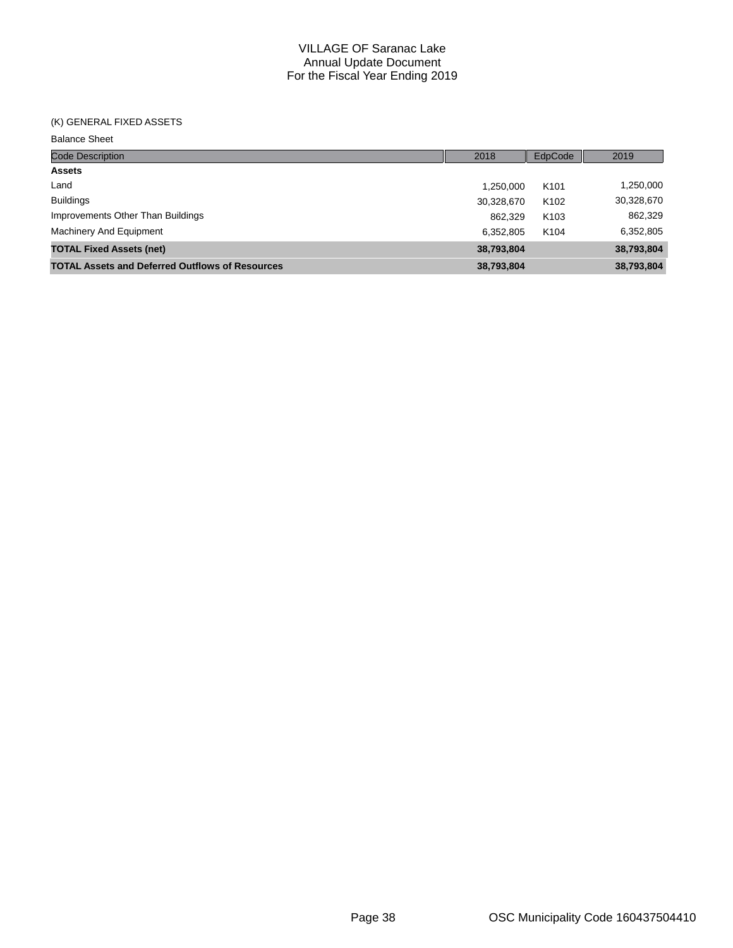### (K) GENERAL FIXED ASSETS

Balance Sheet

| <b>Code Description</b>                                | 2018       | EdpCode          | 2019       |
|--------------------------------------------------------|------------|------------------|------------|
| <b>Assets</b>                                          |            |                  |            |
| Land                                                   | 1,250,000  | K <sub>101</sub> | 1,250,000  |
| <b>Buildings</b>                                       | 30,328,670 | K <sub>102</sub> | 30,328,670 |
| Improvements Other Than Buildings                      | 862,329    | K <sub>103</sub> | 862,329    |
| Machinery And Equipment                                | 6,352,805  | K <sub>104</sub> | 6,352,805  |
| <b>TOTAL Fixed Assets (net)</b>                        | 38,793,804 |                  | 38,793,804 |
| <b>TOTAL Assets and Deferred Outflows of Resources</b> | 38,793,804 |                  | 38,793,804 |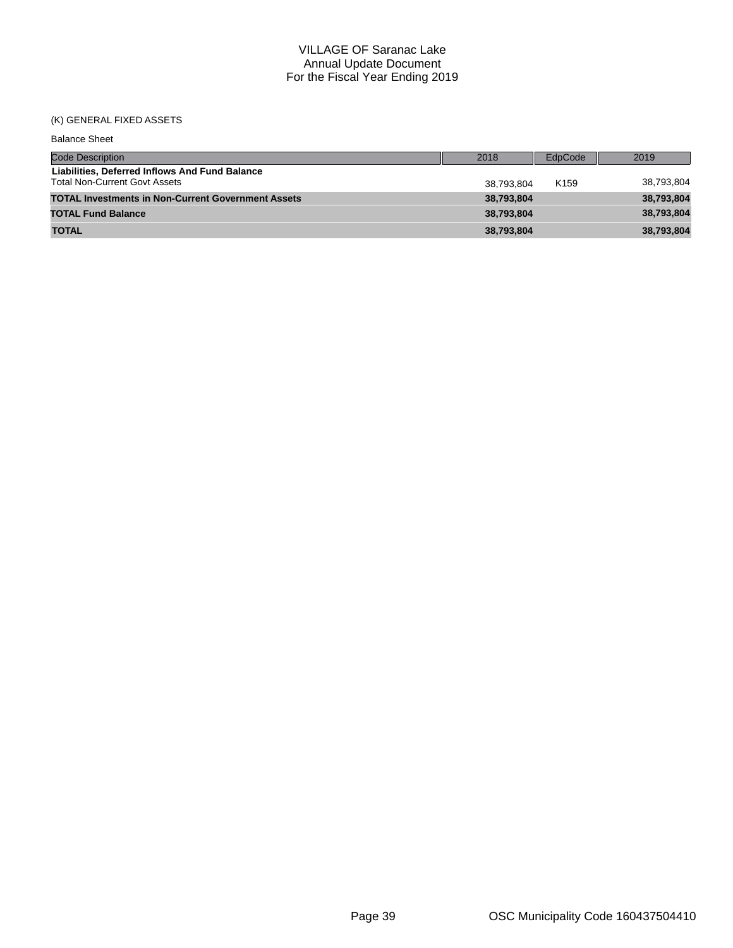## (K) GENERAL FIXED ASSETS

| <b>Balance Sheet</b>                                                                   |            |                  |            |
|----------------------------------------------------------------------------------------|------------|------------------|------------|
| <b>Code Description</b>                                                                | 2018       | EdpCode          | 2019       |
| Liabilities. Deferred Inflows And Fund Balance<br><b>Total Non-Current Govt Assets</b> | 38.793.804 | K <sub>159</sub> | 38,793,804 |
| <b>TOTAL Investments in Non-Current Government Assets</b>                              | 38,793,804 |                  | 38,793,804 |
| <b>TOTAL Fund Balance</b>                                                              | 38.793.804 |                  | 38,793,804 |
| <b>TOTAL</b>                                                                           | 38,793,804 |                  | 38,793,804 |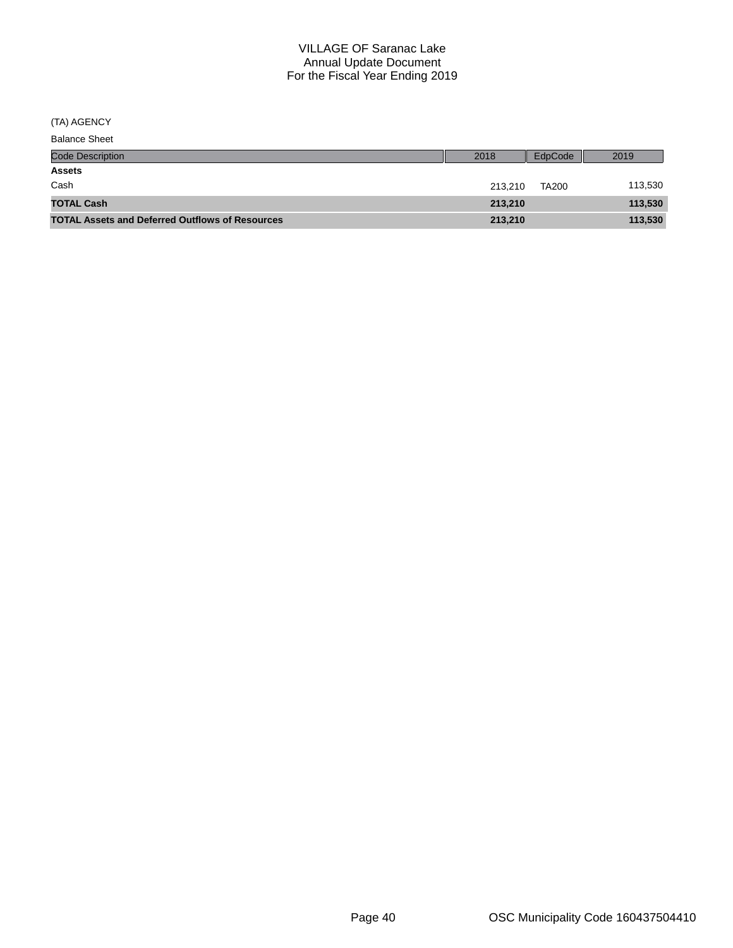(TA) AGENCY

| <b>Balance Sheet</b>                                   |         |              |         |
|--------------------------------------------------------|---------|--------------|---------|
| <b>Code Description</b>                                | 2018    | EdpCode      | 2019    |
| <b>Assets</b>                                          |         |              |         |
| Cash                                                   | 213.210 | <b>TA200</b> | 113,530 |
| <b>TOTAL Cash</b>                                      | 213,210 |              | 113,530 |
| <b>TOTAL Assets and Deferred Outflows of Resources</b> | 213,210 |              | 113,530 |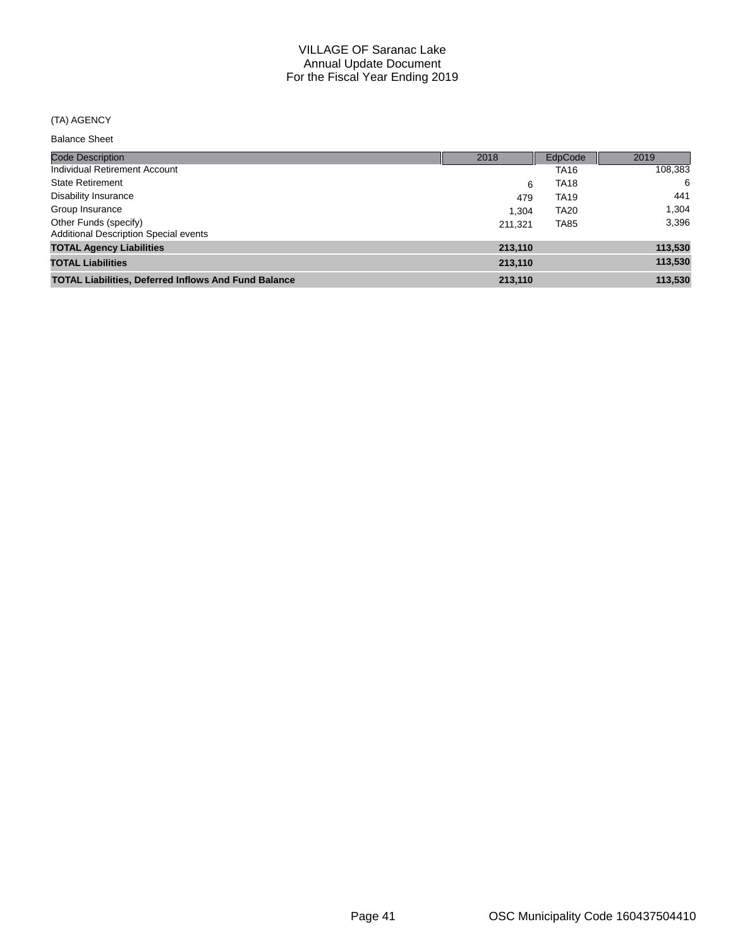### (TA) AGENCY

Balance Sheet

| <b>Code Description</b>                                               | 2018    | EdpCode     | 2019    |
|-----------------------------------------------------------------------|---------|-------------|---------|
| Individual Retirement Account                                         |         | TA16        | 108,383 |
| <b>State Retirement</b>                                               | 6       | <b>TA18</b> | 6       |
| <b>Disability Insurance</b>                                           | 479     | <b>TA19</b> | 441     |
| Group Insurance                                                       | 1.304   | <b>TA20</b> | 1,304   |
| Other Funds (specify)<br><b>Additional Description Special events</b> | 211.321 | <b>TA85</b> | 3,396   |
| <b>TOTAL Agency Liabilities</b>                                       | 213,110 |             | 113,530 |
| <b>TOTAL Liabilities</b>                                              | 213,110 |             | 113,530 |
| <b>TOTAL Liabilities, Deferred Inflows And Fund Balance</b>           | 213,110 |             | 113,530 |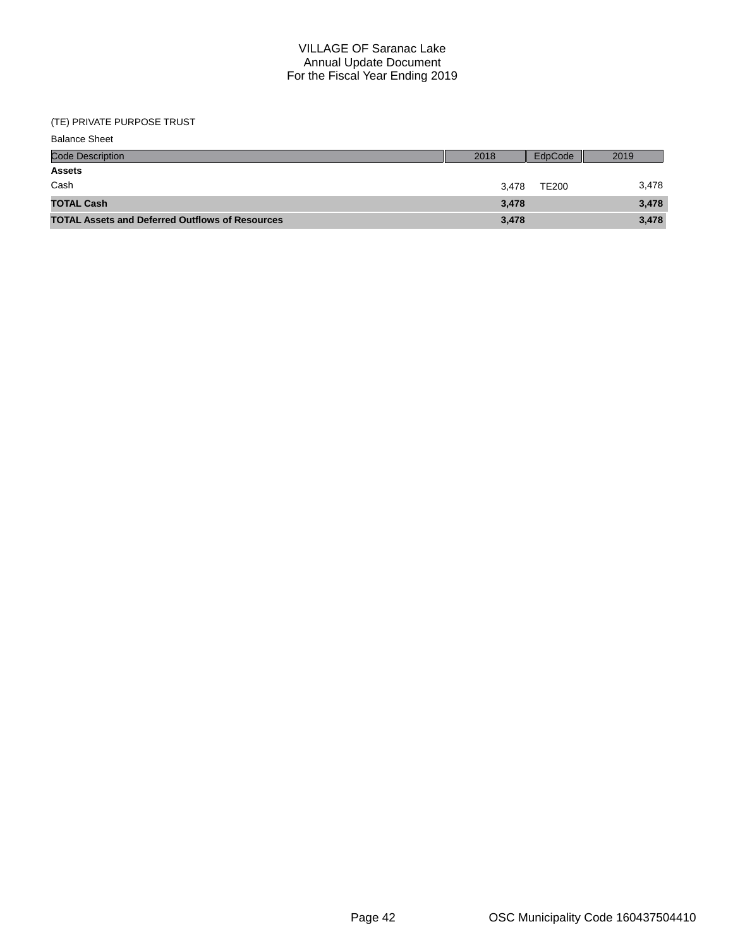### (TE) PRIVATE PURPOSE TRUST

| <b>Balance Sheet</b>                                   |       |              |       |
|--------------------------------------------------------|-------|--------------|-------|
| <b>Code Description</b>                                | 2018  | EdpCode      | 2019  |
| <b>Assets</b>                                          |       |              |       |
| Cash                                                   | 3.478 | <b>TE200</b> | 3,478 |
| <b>TOTAL Cash</b>                                      | 3,478 |              | 3,478 |
| <b>TOTAL Assets and Deferred Outflows of Resources</b> | 3,478 |              | 3,478 |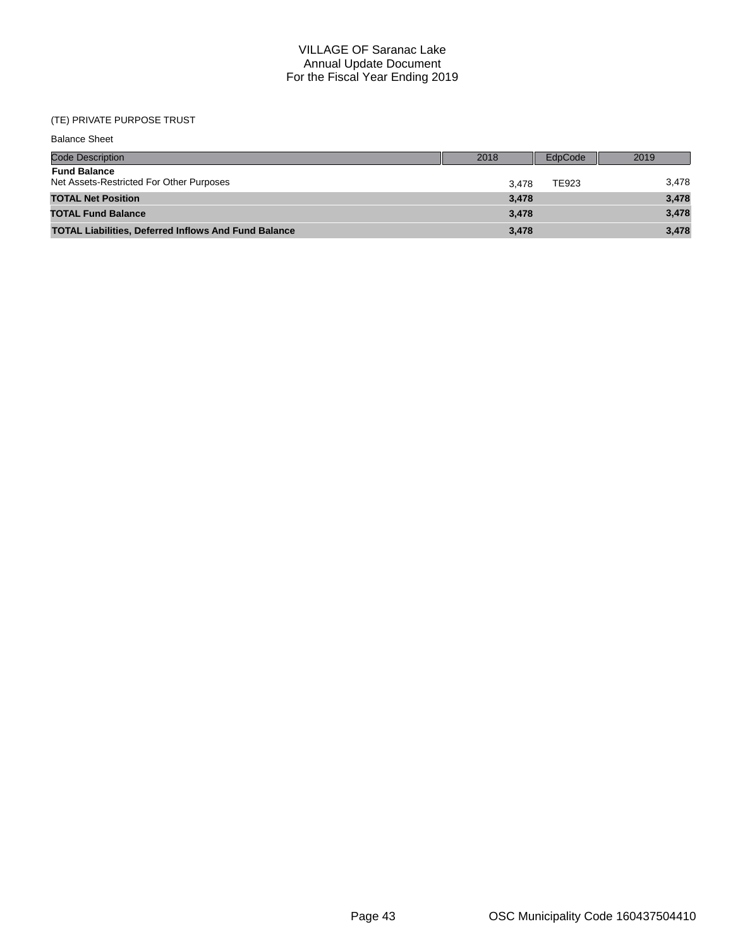## (TE) PRIVATE PURPOSE TRUST

| <b>Balance Sheet</b>                                            |       |         |       |
|-----------------------------------------------------------------|-------|---------|-------|
| <b>Code Description</b>                                         | 2018  | EdpCode | 2019  |
| <b>Fund Balance</b><br>Net Assets-Restricted For Other Purposes | 3.478 | TE923   | 3,478 |
| <b>TOTAL Net Position</b>                                       | 3,478 |         | 3,478 |
| <b>TOTAL Fund Balance</b>                                       | 3.478 |         | 3,478 |
| <b>TOTAL Liabilities, Deferred Inflows And Fund Balance</b>     | 3,478 |         | 3,478 |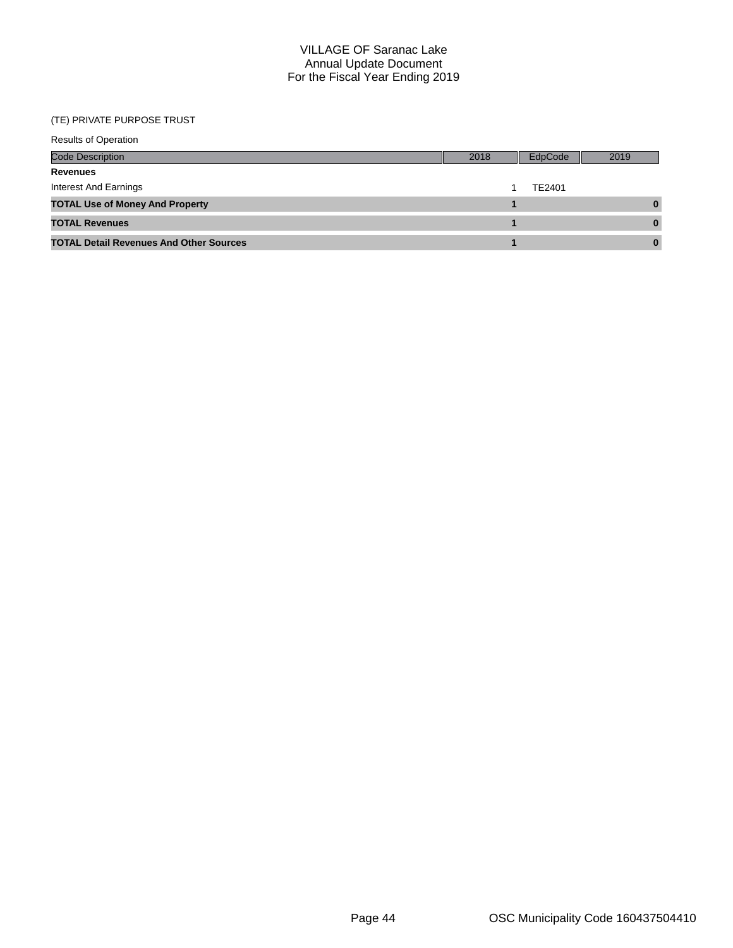## (TE) PRIVATE PURPOSE TRUST

| <b>Results of Operation</b>                    |      |         |      |  |  |  |  |
|------------------------------------------------|------|---------|------|--|--|--|--|
| <b>Code Description</b>                        | 2018 | EdpCode | 2019 |  |  |  |  |
| <b>Revenues</b>                                |      |         |      |  |  |  |  |
| Interest And Earnings                          |      | TE2401  |      |  |  |  |  |
| <b>TOTAL Use of Money And Property</b>         |      |         |      |  |  |  |  |
| <b>TOTAL Revenues</b>                          |      |         |      |  |  |  |  |
| <b>TOTAL Detail Revenues And Other Sources</b> |      |         | 0    |  |  |  |  |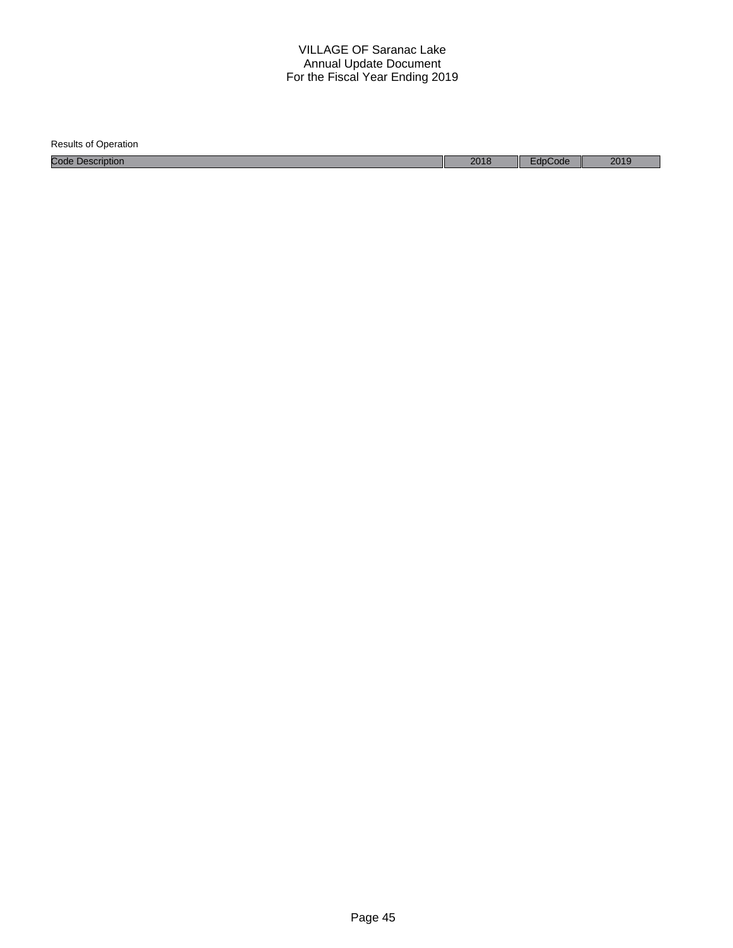| <b>Results of Operation</b> |      |         |      |
|-----------------------------|------|---------|------|
| <b>Code Description</b>     | 2018 | EdpCode | 2019 |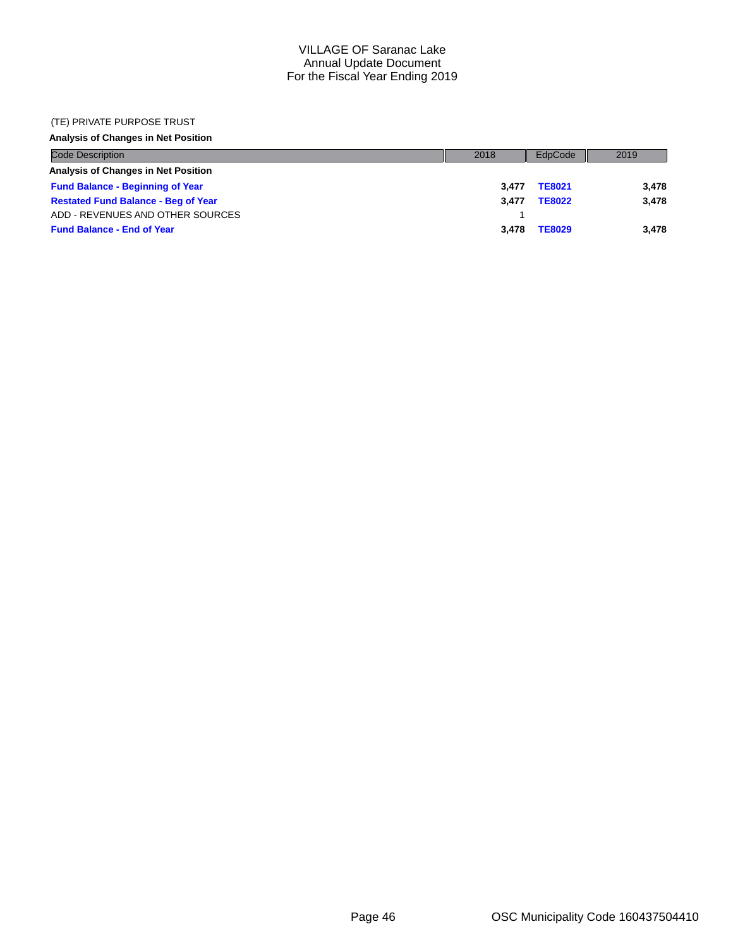#### (TE) PRIVATE PURPOSE TRUST

## **Analysis of Changes in Net Position**

| <b>Code Description</b>                    | 2018  | EdpCode       | 2019  |
|--------------------------------------------|-------|---------------|-------|
| Analysis of Changes in Net Position        |       |               |       |
| <b>Fund Balance - Beginning of Year</b>    | 3.477 | <b>TE8021</b> | 3,478 |
| <b>Restated Fund Balance - Beg of Year</b> | 3.477 | <b>TE8022</b> | 3,478 |
| ADD - REVENUES AND OTHER SOURCES           |       |               |       |
| <b>Fund Balance - End of Year</b>          | 3.478 | <b>TE8029</b> | 3.478 |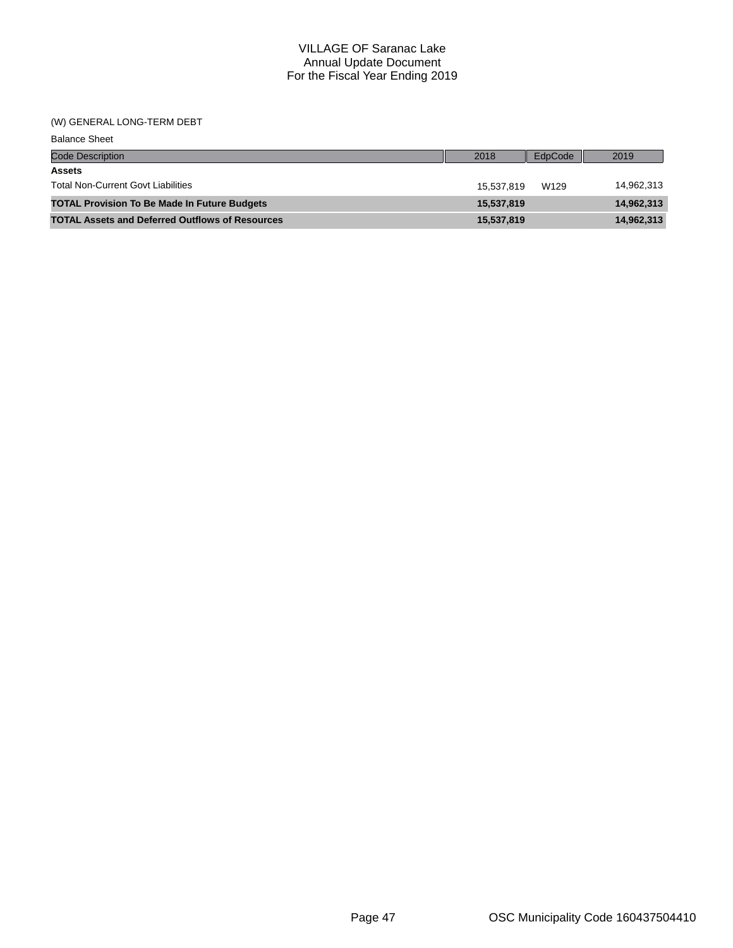#### (W) GENERAL LONG-TERM DEBT

| <b>Balance Sheet</b>                                   |            |         |            |
|--------------------------------------------------------|------------|---------|------------|
| <b>Code Description</b>                                | 2018       | EdpCode | 2019       |
| <b>Assets</b>                                          |            |         |            |
| <b>Total Non-Current Govt Liabilities</b>              | 15.537.819 | W129    | 14,962,313 |
| <b>TOTAL Provision To Be Made In Future Budgets</b>    | 15,537,819 |         | 14,962,313 |
| <b>TOTAL Assets and Deferred Outflows of Resources</b> | 15,537,819 |         | 14,962,313 |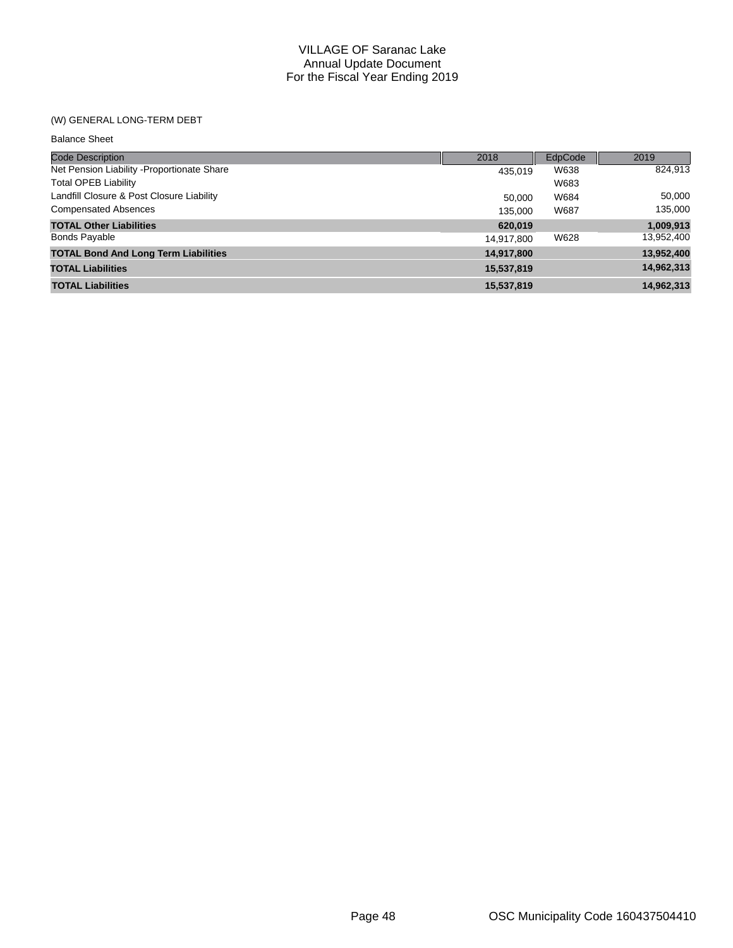## (W) GENERAL LONG-TERM DEBT

| <b>Balance Sheet</b>                        |            |         |            |
|---------------------------------------------|------------|---------|------------|
| <b>Code Description</b>                     | 2018       | EdpCode | 2019       |
| Net Pension Liability - Proportionate Share | 435.019    | W638    | 824,913    |
| <b>Total OPEB Liability</b>                 |            | W683    |            |
| Landfill Closure & Post Closure Liability   | 50,000     | W684    | 50,000     |
| <b>Compensated Absences</b>                 | 135.000    | W687    | 135,000    |
| <b>TOTAL Other Liabilities</b>              | 620,019    |         | 1,009,913  |
| <b>Bonds Payable</b>                        | 14,917,800 | W628    | 13,952,400 |
| <b>TOTAL Bond And Long Term Liabilities</b> | 14,917,800 |         | 13,952,400 |
| <b>TOTAL Liabilities</b>                    | 15,537,819 |         | 14,962,313 |
| <b>TOTAL Liabilities</b>                    | 15,537,819 |         | 14.962.313 |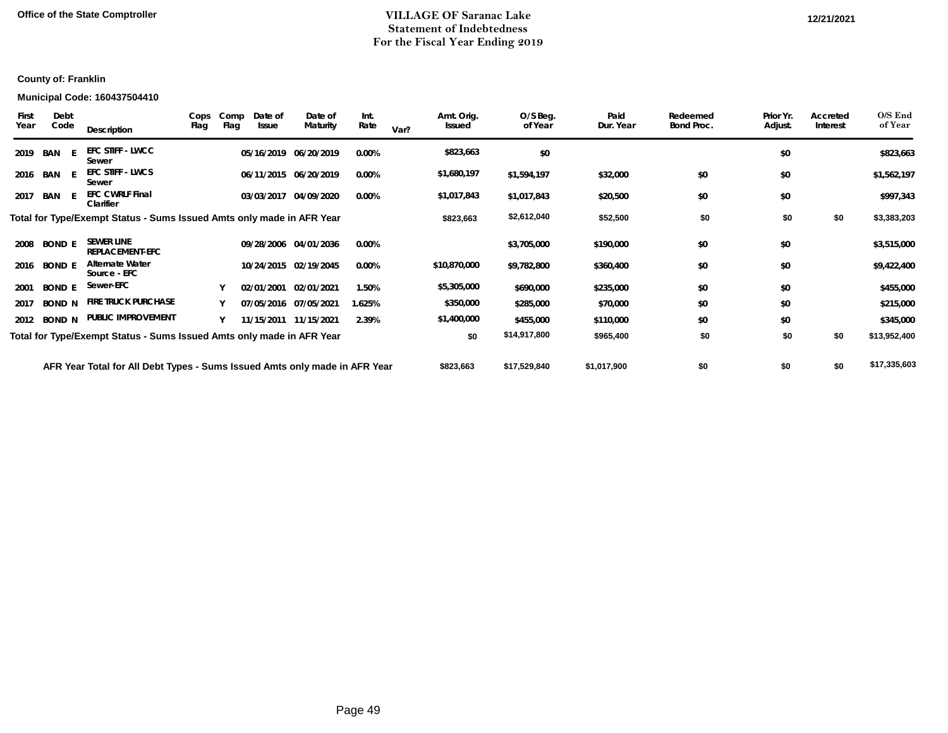## **Office of the State Comptroller 12/21/2021 12/21/2021 12/21/2021 12/21/2021 12/21/2021 12/21/2021 12/21/2021 12/21/2021 12/21/2021 12/21/2021 12/21/2021 12/21/2021 12/21/2021 12/21/2021 12/21 Statement of Indebtedness For the Fiscal Year Ending 2019**

## **County of: Franklin**

#### **Municipal Code: 160437504410**

| First<br>Year | Debt<br>Code  | Description                                                                | Flag | Cops Comp<br>Flag | Date of<br>Issue | Date of<br>Maturity   | Int.<br>Rate | Var? | Amt. Orig.<br>Issued | O/S Beg.<br>of Year | Paid<br>Dur. Year | Redeemed<br>Bond Proc. | Prior Yr.<br>Adjust. | Accreted<br>Interest | O/S End<br>of Year |
|---------------|---------------|----------------------------------------------------------------------------|------|-------------------|------------------|-----------------------|--------------|------|----------------------|---------------------|-------------------|------------------------|----------------------|----------------------|--------------------|
| 2019          | BAN           | <b>EFC STIFF - LWCC</b><br>Sewer                                           |      |                   |                  | 05/16/2019 06/20/2019 | 0.00%        |      | \$823,663            | \$0                 |                   |                        | \$0                  |                      | \$823,663          |
|               | 2016 BAN E    | <b>EFC STIFF - LWCS</b><br>Sewer                                           |      |                   |                  | 06/11/2015 06/20/2019 | $0.00\%$     |      | \$1,680,197          | \$1,594,197         | \$32,000          | \$0                    | \$0                  |                      | \$1,562,197        |
| 2017          | BAN           | <b>EFC CWRLF Final</b><br>Clarifier                                        |      |                   |                  | 03/03/2017 04/09/2020 | 0.00%        |      | \$1,017,843          | \$1,017,843         | \$20,500          | \$0                    | \$0                  |                      | \$997,343          |
|               |               | Total for Type/Exempt Status - Sums Issued Amts only made in AFR Year      |      |                   |                  |                       |              |      | \$823,663            | \$2,612,040         | \$52,500          | \$0                    | \$0                  | \$0                  | \$3,383,203        |
| 2008          | <b>BOND E</b> | <b>SEWER LINE</b><br><b>REPLACEMENT-EFC</b>                                |      |                   |                  | 09/28/2006 04/01/2036 | $0.00\%$     |      |                      | \$3,705,000         | \$190,000         | \$0                    | \$0                  |                      | \$3,515,000        |
| 2016          | <b>BOND E</b> | <b>Alternate Water</b><br>Source - EFC                                     |      |                   |                  | 10/24/2015 02/19/2045 | 0.00%        |      | \$10,870,000         | \$9,782,800         | \$360,400         | \$0                    | \$0                  |                      | \$9,422,400        |
| 2001          | <b>BOND E</b> | Sewer-EFC                                                                  |      |                   |                  | 02/01/2001 02/01/2021 | 1.50%        |      | \$5,305,000          | \$690,000           | \$235,000         | \$0                    | \$0                  |                      | \$455,000          |
| 2017          | <b>BOND N</b> | <b>FIRE TRUCK PURCHASE</b>                                                 |      |                   |                  | 07/05/2016 07/05/2021 | 1.625%       |      | \$350,000            | \$285,000           | \$70,000          | \$0                    | \$0                  |                      | \$215,000          |
|               | 2012 BOND N   | PUBLIC IMPROVEMENT                                                         |      |                   |                  | 11/15/2011 11/15/2021 | 2.39%        |      | \$1,400,000          | \$455,000           | \$110,000         | \$0                    | \$0                  |                      | \$345,000          |
|               |               | Total for Type/Exempt Status - Sums Issued Amts only made in AFR Year      |      |                   |                  |                       |              |      | \$0                  | \$14,917,800        | \$965,400         | \$0                    | \$0                  | \$0                  | \$13,952,400       |
|               |               | AFR Year Total for All Debt Types - Sums Issued Amts only made in AFR Year |      |                   |                  |                       |              |      | \$823,663            | \$17,529,840        | \$1,017,900       | \$0                    | \$0                  | \$0                  | \$17,335,603       |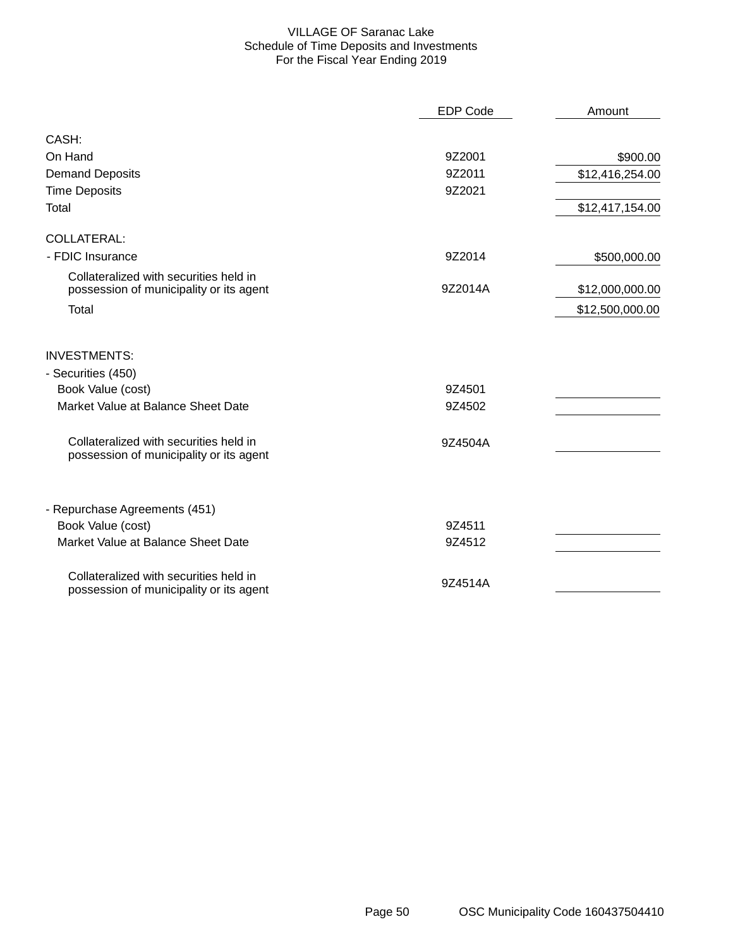### VILLAGE OF Saranac Lake Schedule of Time Deposits and Investments For the Fiscal Year Ending 2019

|                                                                                   | <b>EDP Code</b> | Amount          |
|-----------------------------------------------------------------------------------|-----------------|-----------------|
| CASH:                                                                             |                 |                 |
| On Hand                                                                           | 9Z2001          | \$900.00        |
| <b>Demand Deposits</b>                                                            | 9Z2011          | \$12,416,254.00 |
| <b>Time Deposits</b>                                                              | 9Z2021          |                 |
| Total                                                                             |                 | \$12,417,154.00 |
| <b>COLLATERAL:</b>                                                                |                 |                 |
| - FDIC Insurance                                                                  | 9Z2014          | \$500,000.00    |
| Collateralized with securities held in<br>possession of municipality or its agent | 9Z2014A         | \$12,000,000.00 |
| Total                                                                             |                 | \$12,500,000.00 |
| <b>INVESTMENTS:</b>                                                               |                 |                 |
| - Securities (450)                                                                |                 |                 |
| Book Value (cost)                                                                 | 9Z4501          |                 |
| Market Value at Balance Sheet Date                                                | 9Z4502          |                 |
| Collateralized with securities held in<br>possession of municipality or its agent | 9Z4504A         |                 |
| - Repurchase Agreements (451)                                                     |                 |                 |
| Book Value (cost)                                                                 | 9Z4511          |                 |
| Market Value at Balance Sheet Date                                                | 9Z4512          |                 |
| Collateralized with securities held in<br>possession of municipality or its agent | 9Z4514A         |                 |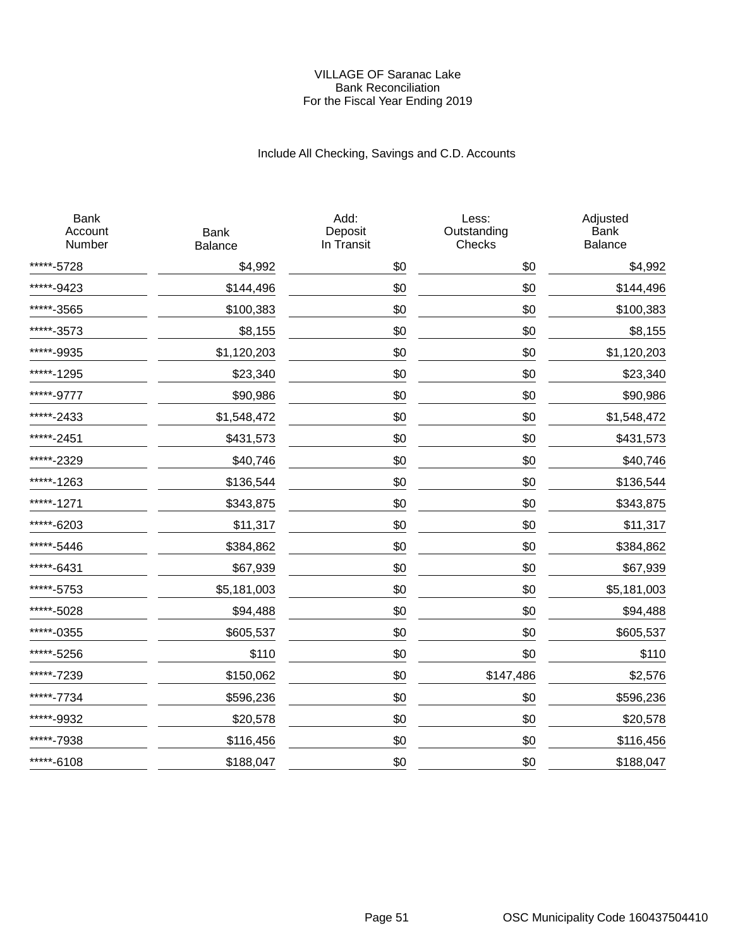### VILLAGE OF Saranac Lake Bank Reconciliation For the Fiscal Year Ending 2019

# Include All Checking, Savings and C.D. Accounts

| <b>Bank</b><br><b>Balance</b> | Add:<br>Deposit<br>In Transit | Less:<br>Outstanding<br>Checks | Adjusted<br><b>Bank</b><br><b>Balance</b> |
|-------------------------------|-------------------------------|--------------------------------|-------------------------------------------|
| \$4,992                       | \$0                           | \$0                            | \$4,992                                   |
| \$144,496                     | \$0                           | \$0                            | \$144,496                                 |
| \$100,383                     | \$0                           | \$0                            | \$100,383                                 |
| \$8,155                       | \$0                           | \$0                            | \$8,155                                   |
| \$1,120,203                   | \$0                           | \$0                            | \$1,120,203                               |
| \$23,340                      | \$0                           | \$0                            | \$23,340                                  |
| \$90,986                      | \$0                           | \$0                            | \$90,986                                  |
| \$1,548,472                   | \$0                           | \$0                            | \$1,548,472                               |
| \$431,573                     | \$0                           | \$0                            | \$431,573                                 |
| \$40,746                      | \$0                           | \$0                            | \$40,746                                  |
| \$136,544                     | \$0                           | \$0                            | \$136,544                                 |
| \$343,875                     | \$0                           | \$0                            | \$343,875                                 |
| \$11,317                      | \$0                           | \$0                            | \$11,317                                  |
| \$384,862                     | \$0                           | \$0                            | \$384,862                                 |
| \$67,939                      | \$0                           | \$0                            | \$67,939                                  |
| \$5,181,003                   | \$0                           | \$0                            | \$5,181,003                               |
| \$94,488                      | \$0                           | \$0                            | \$94,488                                  |
| \$605,537                     | \$0                           | \$0                            | \$605,537                                 |
| \$110                         | \$0                           | \$0                            | \$110                                     |
| \$150,062                     | \$0                           | \$147,486                      | \$2,576                                   |
| \$596,236                     | \$0                           | \$0                            | \$596,236                                 |
| \$20,578                      | \$0                           | \$0                            | \$20,578                                  |
| \$116,456                     | \$0                           | \$0                            | \$116,456                                 |
| \$188,047                     | \$0                           | \$0                            | \$188,047                                 |
|                               |                               |                                |                                           |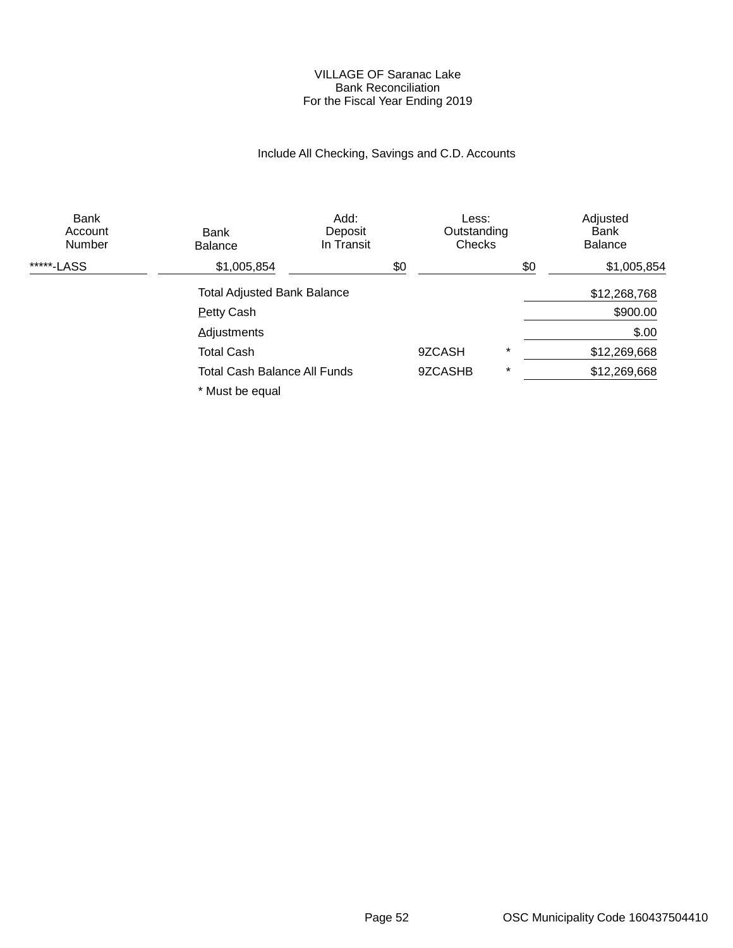### VILLAGE OF Saranac Lake Bank Reconciliation For the Fiscal Year Ending 2019

# Include All Checking, Savings and C.D. Accounts

| <b>Bank</b><br>Account<br><b>Number</b> | Bank<br><b>Balance</b>              | Add:<br>Deposit<br>In Transit |     | Less:<br>Outstanding<br>Checks |         |     | Adjusted<br>Bank<br><b>Balance</b> |
|-----------------------------------------|-------------------------------------|-------------------------------|-----|--------------------------------|---------|-----|------------------------------------|
| *****-LASS                              | \$1,005,854                         |                               | \$0 |                                |         | \$0 | \$1,005,854                        |
|                                         | <b>Total Adjusted Bank Balance</b>  |                               |     |                                |         |     | \$12,268,768                       |
|                                         | <b>Petty Cash</b>                   |                               |     |                                |         |     | \$900.00                           |
|                                         | <b>Adjustments</b>                  |                               |     |                                |         |     | \$.00                              |
|                                         | <b>Total Cash</b>                   |                               |     | 9ZCASH                         | $\star$ |     | \$12,269,668                       |
|                                         | <b>Total Cash Balance All Funds</b> |                               |     | 9ZCASHB                        | $\star$ |     | \$12,269,668                       |
|                                         | * Must be equal                     |                               |     |                                |         |     |                                    |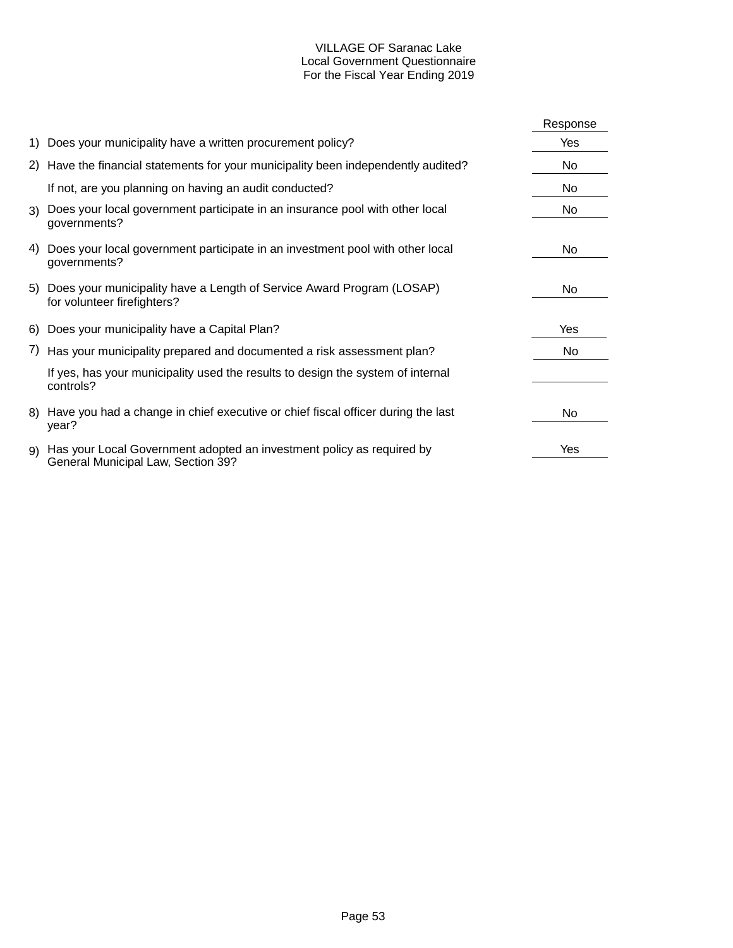## VILLAGE OF Saranac Lake Local Government Questionnaire For the Fiscal Year Ending 2019

|     |                                                                                                             | Response |
|-----|-------------------------------------------------------------------------------------------------------------|----------|
|     | 1) Does your municipality have a written procurement policy?                                                | Yes      |
|     | 2) Have the financial statements for your municipality been independently audited?                          | No       |
|     | If not, are you planning on having an audit conducted?                                                      | No       |
|     | 3) Does your local government participate in an insurance pool with other local<br>governments?             | No       |
| 4)  | Does your local government participate in an investment pool with other local<br>governments?               | No       |
|     | 5) Does your municipality have a Length of Service Award Program (LOSAP)<br>for volunteer firefighters?     | No.      |
|     | 6) Does your municipality have a Capital Plan?                                                              | Yes      |
|     | 7) Has your municipality prepared and documented a risk assessment plan?                                    | No       |
|     | If yes, has your municipality used the results to design the system of internal<br>controls?                |          |
| 8). | Have you had a change in chief executive or chief fiscal officer during the last<br>year?                   | No       |
| 9)  | Has your Local Government adopted an investment policy as required by<br>General Municipal Law, Section 39? | Yes      |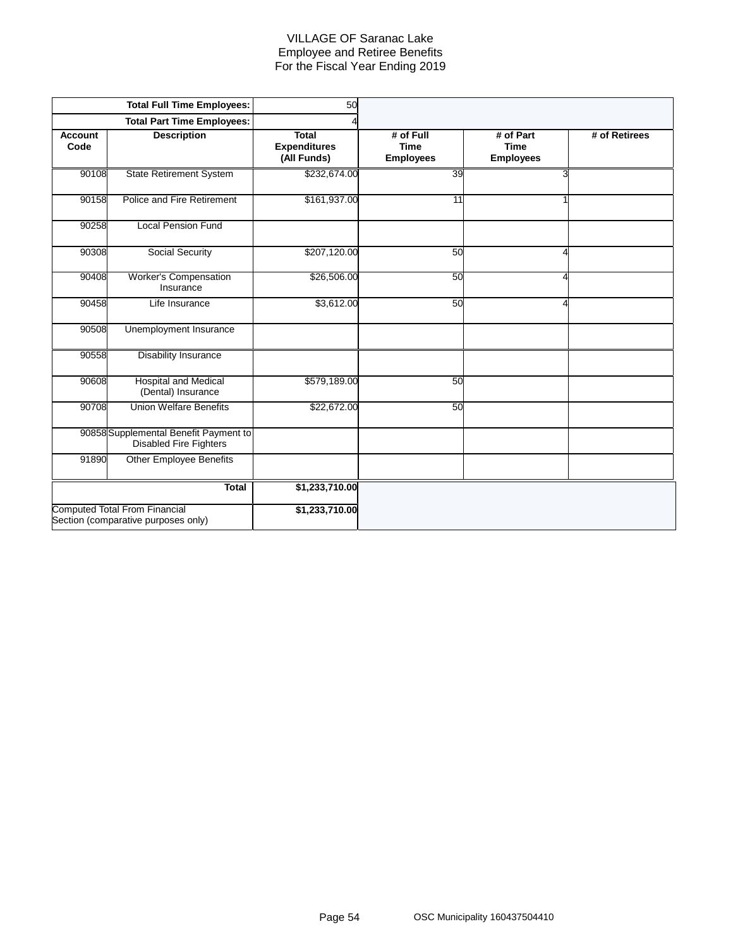### VILLAGE OF Saranac Lake Employee and Retiree Benefits For the Fiscal Year Ending 2019

|                        | <b>Total Full Time Employees:</b>                                           | 50                                                 |                                              |                                              |               |
|------------------------|-----------------------------------------------------------------------------|----------------------------------------------------|----------------------------------------------|----------------------------------------------|---------------|
|                        | <b>Total Part Time Employees:</b>                                           |                                                    |                                              |                                              |               |
| <b>Account</b><br>Code | <b>Description</b>                                                          | <b>Total</b><br><b>Expenditures</b><br>(All Funds) | # of Full<br><b>Time</b><br><b>Employees</b> | # of Part<br><b>Time</b><br><b>Employees</b> | # of Retirees |
| 90108                  | <b>State Retirement System</b>                                              | \$232,674.00                                       | 39                                           | 3                                            |               |
| 90158                  | Police and Fire Retirement                                                  | \$161,937.00                                       | 11                                           |                                              |               |
| 90258                  | <b>Local Pension Fund</b>                                                   |                                                    |                                              |                                              |               |
| 90308                  | Social Security                                                             | \$207,120.00                                       | 50                                           | Λ                                            |               |
| 90408                  | Worker's Compensation<br>Insurance                                          | \$26,506.00                                        | 50                                           | 4                                            |               |
| 90458                  | Life Insurance                                                              | \$3,612.00                                         | 50                                           | Δ                                            |               |
| 90508                  | Unemployment Insurance                                                      |                                                    |                                              |                                              |               |
| 90558                  | <b>Disability Insurance</b>                                                 |                                                    |                                              |                                              |               |
| 90608                  | <b>Hospital and Medical</b><br>(Dental) Insurance                           | \$579,189.00                                       | 50                                           |                                              |               |
| 90708                  | <b>Union Welfare Benefits</b>                                               | \$22,672.00                                        | 50                                           |                                              |               |
|                        | 90858 Supplemental Benefit Payment to<br><b>Disabled Fire Fighters</b>      |                                                    |                                              |                                              |               |
| 91890                  | <b>Other Employee Benefits</b>                                              |                                                    |                                              |                                              |               |
|                        | <b>Total</b>                                                                | \$1,233,710.00                                     |                                              |                                              |               |
|                        | <b>Computed Total From Financial</b><br>Section (comparative purposes only) | \$1,233,710.00                                     |                                              |                                              |               |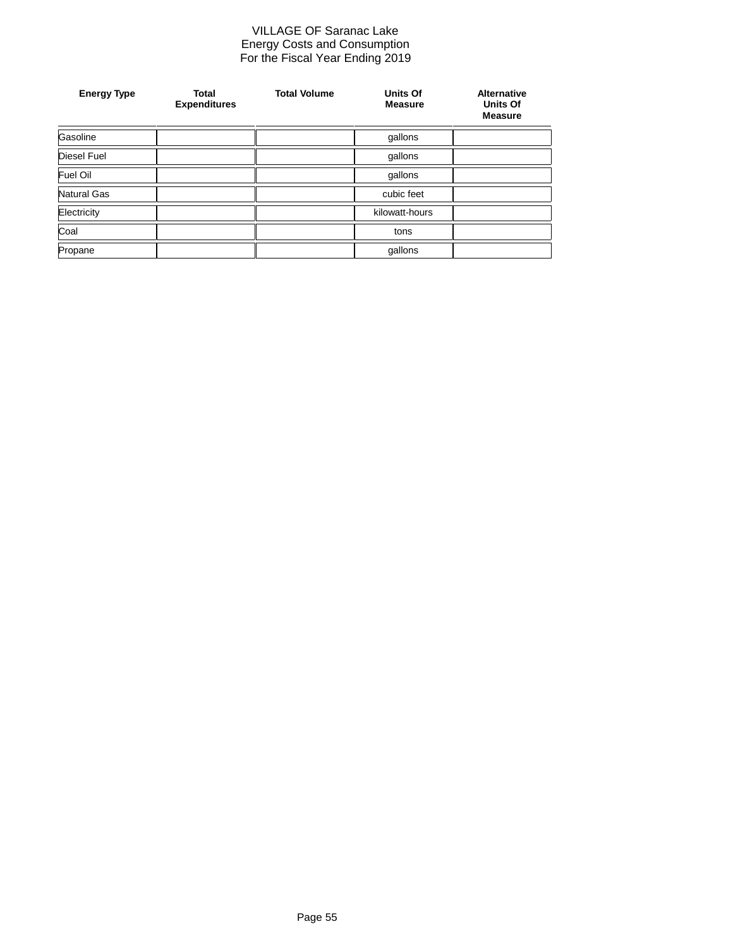#### VILLAGE OF Saranac Lake Energy Costs and Consumption For the Fiscal Year Ending 2019

| <b>Energy Type</b> | <b>Total</b><br><b>Expenditures</b> | <b>Total Volume</b> | <b>Units Of</b><br><b>Measure</b> | <b>Alternative</b><br><b>Units Of</b><br><b>Measure</b> |
|--------------------|-------------------------------------|---------------------|-----------------------------------|---------------------------------------------------------|
| Gasoline           |                                     |                     | gallons                           |                                                         |
| <b>Diesel Fuel</b> |                                     |                     | gallons                           |                                                         |
| Fuel Oil           |                                     |                     | gallons                           |                                                         |
| Natural Gas        |                                     |                     | cubic feet                        |                                                         |
| Electricity        |                                     |                     | kilowatt-hours                    |                                                         |
| Coal               |                                     |                     | tons                              |                                                         |
| Propane            |                                     | gallons             |                                   |                                                         |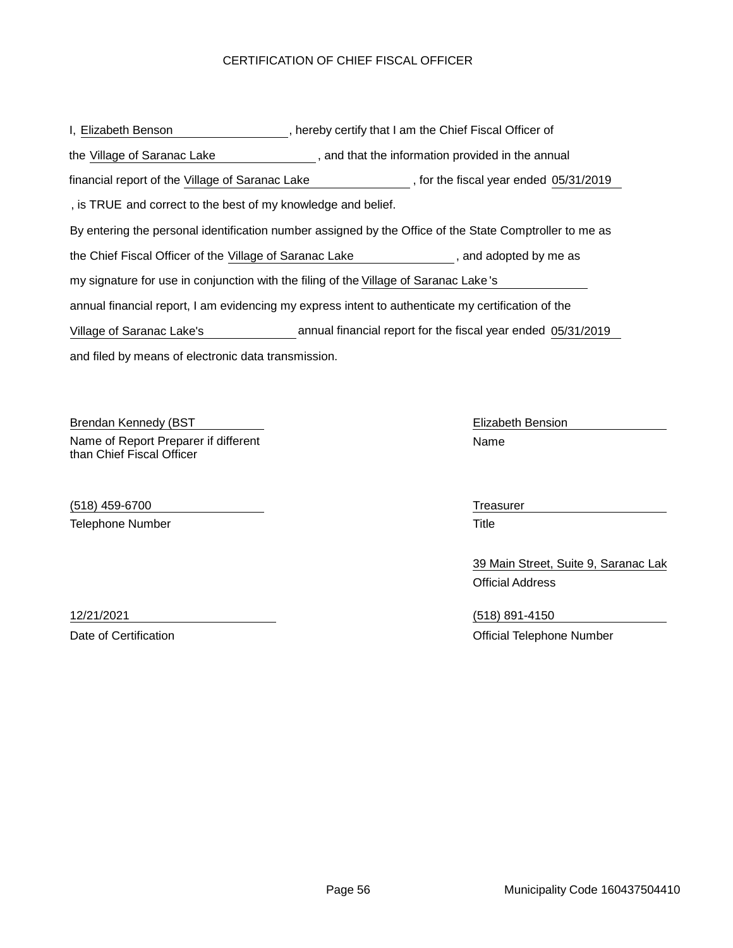## CERTIFICATION OF CHIEF FISCAL OFFICER

| I, Elizabeth Benson                                                                                     | , hereby certify that I am the Chief Fiscal Officer of       |  |  |  |  |
|---------------------------------------------------------------------------------------------------------|--------------------------------------------------------------|--|--|--|--|
| the Village of Saranac Lake                                                                             | , and that the information provided in the annual            |  |  |  |  |
| financial report of the Village of Saranac Lake                                                         | , for the fiscal year ended 05/31/2019                       |  |  |  |  |
| , is TRUE and correct to the best of my knowledge and belief.                                           |                                                              |  |  |  |  |
| By entering the personal identification number assigned by the Office of the State Comptroller to me as |                                                              |  |  |  |  |
| the Chief Fiscal Officer of the Village of Saranac Lake<br>, and adopted by me as                       |                                                              |  |  |  |  |
| my signature for use in conjunction with the filing of the Village of Saranac Lake's                    |                                                              |  |  |  |  |
| annual financial report, I am evidencing my express intent to authenticate my certification of the      |                                                              |  |  |  |  |
| Village of Saranac Lake's                                                                               | annual financial report for the fiscal year ended 05/31/2019 |  |  |  |  |
| and filed by means of electronic data transmission.                                                     |                                                              |  |  |  |  |

Brendan Kennedy (BST North Bension Networks and The Elizabeth Bension Networks and The Elizabeth Bension Name of Report Preparer if different than Chief Fiscal Officer

(518) 459-6700 Treasurer Telephone Number 76 and 76 and 76 and 76 and 77 and 77 and 77 and 77 and 77 and 77 and 77 and 77 and 77 and 77 and 77 and 77 and 77 and 77 and 77 and 77 and 77 and 77 and 77 and 77 and 77 and 77 and 77 and 77 and 77 and 77

Name

39 Main Street, Suite 9, Saranac Lak Official Address

12/21/2021 (518) 891-4150 Date of Certification **Date of Certification Date of Certification Official Telephone Number**